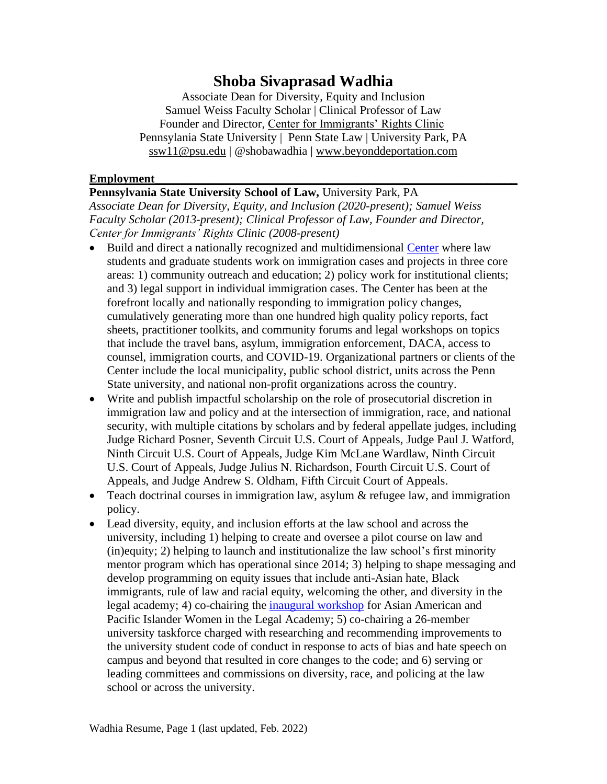# **Shoba Sivaprasad Wadhia**

Associate Dean for Diversity, Equity and Inclusion Samuel Weiss Faculty Scholar | Clinical Professor of Law Founder and Director, [Center for Immigrants' Rights Clinic](https://pennstatelaw.psu.edu/practice-skills/clinics/center-immigrants-rights) Pennsylania State University | Penn State Law | University Park, PA [ssw11@psu.edu](mailto:ssw11@psu.edu) | @shobawadhia | [www.beyonddeportation.com](http://www.beyonddeportation.com/)

#### **Employment**

#### **Pennsylvania State University School of Law,** University Park, PA

*Associate Dean for Diversity, Equity, and Inclusion (2020-present); Samuel Weiss Faculty Scholar (2013-present); Clinical Professor of Law, Founder and Director, Center for Immigrants' Rights Clinic (2008-present)*

- Build and direct a nationally recognized and multidimensional [Center](https://pennstatelaw.psu.edu/practice-skills/clinics/center-immigrants-rights) where law students and graduate students work on immigration cases and projects in three core areas: 1) community outreach and education; 2) policy work for institutional clients; and 3) legal support in individual immigration cases. The Center has been at the forefront locally and nationally responding to immigration policy changes, cumulatively generating more than one hundred high quality policy reports, fact sheets, practitioner toolkits, and community forums and legal workshops on topics that include the travel bans, asylum, immigration enforcement, DACA, access to counsel, immigration courts, and COVID-19. Organizational partners or clients of the Center include the local municipality, public school district, units across the Penn State university, and national non-profit organizations across the country.
- Write and publish impactful scholarship on the role of prosecutorial discretion in immigration law and policy and at the intersection of immigration, race, and national security, with multiple citations by scholars and by federal appellate judges, including Judge [Richard](https://nam10.safelinks.protection.outlook.com/?url=https%3A%2F%2Fcaselaw.findlaw.com%2Fus-7th-circuit%2F1765272.html&data=04%7C01%7Cbaj5321%40psu.edu%7C0714ed1f99f84b1f21ef08d8c20cae00%7C7cf48d453ddb4389a9c1c115526eb52e%7C0%7C0%7C637472706992884387%7CUnknown%7CTWFpbGZsb3d8eyJWIjoiMC4wLjAwMDAiLCJQIjoiV2luMzIiLCJBTiI6Ik1haWwiLCJXVCI6Mn0%3D%7C1000&sdata=9DqubgXP%2F7h8VX2pwMSfpxzoyx8%2BU0eFKraQP1XUji4%3D&reserved=0) Posner, Seventh Circuit U.S. Court of Appeals, Judge Paul J. [Watford,](https://nam10.safelinks.protection.outlook.com/?url=http%3A%2F%2Fcdn.ca9.uscourts.gov%2Fdatastore%2Fopinions%2F2018%2F01%2F10%2F14-71747.pdf&data=04%7C01%7Cbaj5321%40psu.edu%7C0714ed1f99f84b1f21ef08d8c20cae00%7C7cf48d453ddb4389a9c1c115526eb52e%7C0%7C0%7C637472706992889366%7CUnknown%7CTWFpbGZsb3d8eyJWIjoiMC4wLjAwMDAiLCJQIjoiV2luMzIiLCJBTiI6Ik1haWwiLCJXVCI6Mn0%3D%7C1000&sdata=jXM6SMynNSOY%2B%2BTjUDC1Moug%2F6Qq%2FCheAvp%2FeZKYCRk%3D&reserved=0) Ninth Circuit U.S. Court of Appeals, Judge Kim McLane [Wardlaw,](https://nam10.safelinks.protection.outlook.com/?url=http%3A%2F%2Fcdn.ca9.uscourts.gov%2Fdatastore%2Fopinions%2F2018%2F11%2F08%2F18-15068.pdf&data=04%7C01%7Cbaj5321%40psu.edu%7C0714ed1f99f84b1f21ef08d8c20cae00%7C7cf48d453ddb4389a9c1c115526eb52e%7C0%7C0%7C637472706992894342%7CUnknown%7CTWFpbGZsb3d8eyJWIjoiMC4wLjAwMDAiLCJQIjoiV2luMzIiLCJBTiI6Ik1haWwiLCJXVCI6Mn0%3D%7C1000&sdata=GqE%2Fir%2FI22j67BlYuj8lBw%2BNlKc1U1jTq2XNkcumAi8%3D&reserved=0) Ninth Circuit U.S. Court of Appeals, Judge Julius N. Richardson, Fourth Circuit U.S. Court of Appeals, and Judge Andrew S. Oldham, Fifth Circuit Court of Appeals.
- Teach doctrinal courses in immigration law, asylum & refugee law, and immigration policy.
- Lead diversity, equity, and inclusion efforts at the law school and across the university, including 1) helping to create and oversee a pilot course on law and (in)equity; 2) helping to launch and institutionalize the law school's first minority mentor program which has operational since 2014; 3) helping to shape messaging and develop programming on equity issues that include anti-Asian hate, Black immigrants, rule of law and racial equity, welcoming the other, and diversity in the legal academy; 4) co-chairing the [inaugural workshop](https://pennstatelaw.psu.edu/events/asian-american-women-workshop) for Asian American and Pacific Islander Women in the Legal Academy; 5) co-chairing a 26-member university taskforce charged with researching and recommending improvements to the university student code of conduct in response to acts of bias and hate speech on campus and beyond that resulted in core changes to the code; and 6) serving or leading committees and commissions on diversity, race, and policing at the law school or across the university.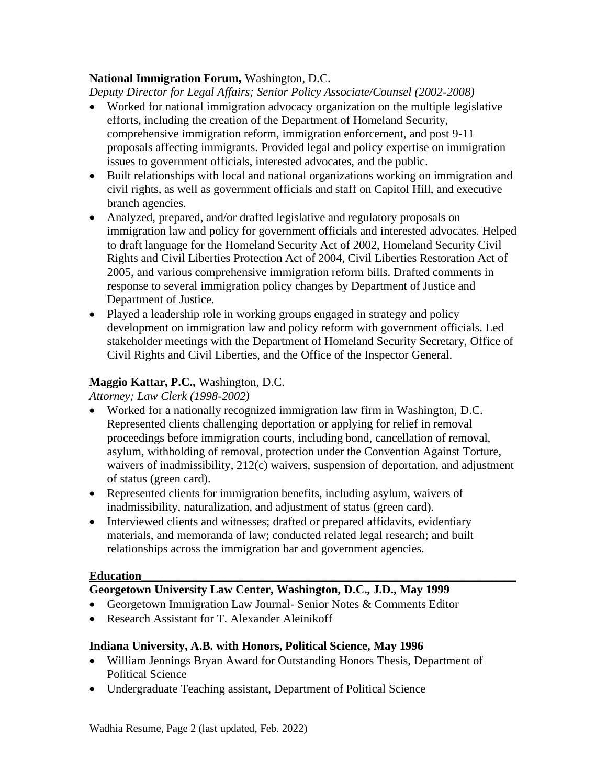### **National Immigration Forum,** Washington, D.C.

*Deputy Director for Legal Affairs; Senior Policy Associate/Counsel (2002-2008)* 

- Worked for national immigration advocacy organization on the multiple legislative efforts, including the creation of the Department of Homeland Security, comprehensive immigration reform, immigration enforcement, and post 9-11 proposals affecting immigrants. Provided legal and policy expertise on immigration issues to government officials, interested advocates, and the public.
- Built relationships with local and national organizations working on immigration and civil rights, as well as government officials and staff on Capitol Hill, and executive branch agencies.
- Analyzed, prepared, and/or drafted legislative and regulatory proposals on immigration law and policy for government officials and interested advocates. Helped to draft language for the Homeland Security Act of 2002, Homeland Security Civil Rights and Civil Liberties Protection Act of 2004, Civil Liberties Restoration Act of 2005, and various comprehensive immigration reform bills. Drafted comments in response to several immigration policy changes by Department of Justice and Department of Justice.
- Played a leadership role in working groups engaged in strategy and policy development on immigration law and policy reform with government officials. Led stakeholder meetings with the Department of Homeland Security Secretary, Office of Civil Rights and Civil Liberties, and the Office of the Inspector General.

### **Maggio Kattar, P.C.,** Washington, D.C.

*Attorney; Law Clerk (1998-2002)* 

- Worked for a nationally recognized immigration law firm in Washington, D.C. Represented clients challenging deportation or applying for relief in removal proceedings before immigration courts, including bond, cancellation of removal, asylum, withholding of removal, protection under the Convention Against Torture, waivers of inadmissibility, 212(c) waivers, suspension of deportation, and adjustment of status (green card).
- Represented clients for immigration benefits, including asylum, waivers of inadmissibility, naturalization, and adjustment of status (green card).
- Interviewed clients and witnesses; drafted or prepared affidavits, evidentiary materials, and memoranda of law; conducted related legal research; and built relationships across the immigration bar and government agencies.

#### **Education\_\_\_\_\_\_\_\_\_\_\_\_\_\_\_\_\_\_\_\_\_\_\_\_\_\_\_\_\_\_\_\_\_\_\_\_\_\_\_\_\_\_\_\_\_\_\_\_\_\_\_\_\_\_\_\_\_\_\_\_\_\_\_**

# **Georgetown University Law Center, Washington, D.C., J.D., May 1999**

- Georgetown Immigration Law Journal- Senior Notes & Comments Editor
- Research Assistant for T. Alexander Aleinikoff

#### **Indiana University, A.B. with Honors, Political Science, May 1996**

- William Jennings Bryan Award for Outstanding Honors Thesis, Department of Political Science
- Undergraduate Teaching assistant, Department of Political Science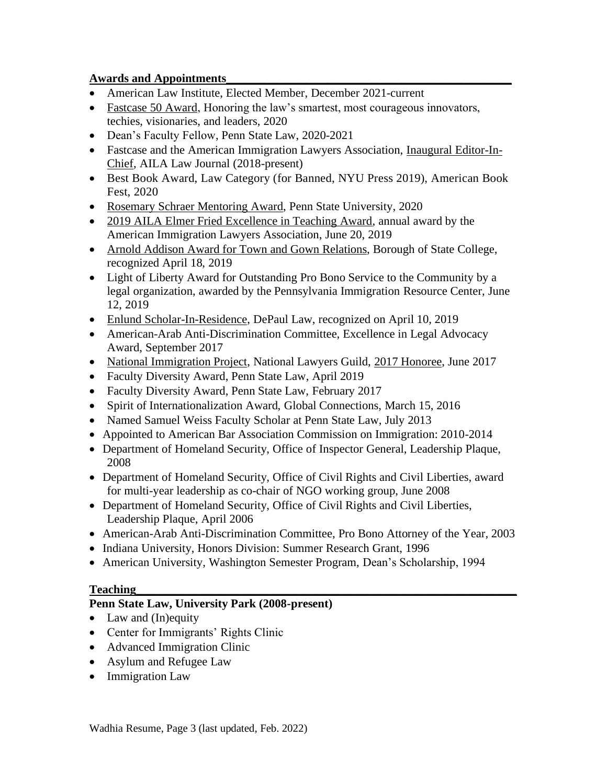### **Awards and Appointments\_\_\_\_\_\_\_\_\_\_\_\_\_\_\_\_\_\_\_\_\_\_\_\_\_\_\_\_\_\_\_\_\_\_\_\_\_\_\_\_\_\_\_\_\_\_\_\_**

- American Law Institute, Elected Member, December 2021-current
- [Fastcase 50 Award,](https://www.fastcase.com/fastcase50/) Honoring the law's smartest, most courageous innovators, techies, visionaries, and leaders, 2020
- Dean's Faculty Fellow, Penn State Law, 2020-2021
- Fastcase and the American Immigration Lawyers Association, [Inaugural Editor-In-](https://www.aila.org/publications/aila-law-journal)[Chief,](https://www.aila.org/publications/aila-law-journal) AILA Law Journal (2018-present)
- Best Book Award, Law Category (for Banned, NYU Press 2019), American Book Fest, 2020
- [Rosemary Schraer Mentoring Award,](https://news.psu.edu/story/612678/2020/03/27/academics/shoba-sivaprasad-wadhia-earns-2020-rosemary-schraer-mentoring) Penn State University, 2020
- [2019 AILA Elmer Fried Excellence in Teaching Award,](https://www.aila.org/advo-media/press-releases/2019/aila-presents-shoba-sivaprasad-wadhia-with-2019) annual award by the American Immigration Lawyers Association, June 20, 2019
- Arnold Addison Award for Town and Gown [Relations,](http://www.statecollegepa.us/CivicSend/ViewMessage/Message/82929) Borough of State College, recognized April 18, 2019
- Light of Liberty Award for Outstanding Pro Bono Service to the Community by a legal organization, awarded by the Pennsylvania Immigration Resource Center, June 12, 2019
- [Enlund Scholar-In-Residence,](http://events.depaul.edu/event/cle_-_2019_enlund_scholar-in-_residence_lecture_with_distinguished_lecturer_shoba_sivaprasad_wadhia#.XMeb2fZFw2w) DePaul Law, recognized on April 10, 2019
- American-Arab Anti-Discrimination Committee, Excellence in Legal Advocacy Award, September 2017
- [National Immigration Project,](http://nationalimmigrationproject.org/alerts.html) National Lawyers Guild, [2017 Honoree,](http://nationalimmigrationproject.org/PDFs/development/2017_23Jun_AILA_Program_Book.pdf) June 2017
- Faculty Diversity Award, Penn State Law, April 2019
- Faculty Diversity Award, Penn State Law, February 2017
- Spirit of Internationalization Award, Global Connections, March 15, 2016
- Named Samuel Weiss Faculty Scholar at Penn State Law, July 2013
- Appointed to American Bar Association Commission on Immigration: 2010-2014
- Department of Homeland Security, Office of Inspector General, Leadership Plaque, 2008
- Department of Homeland Security, Office of Civil Rights and Civil Liberties, award for multi-year leadership as co-chair of NGO working group, June 2008
- Department of Homeland Security, Office of Civil Rights and Civil Liberties, Leadership Plaque, April 2006
- American-Arab Anti-Discrimination Committee, Pro Bono Attorney of the Year, 2003
- Indiana University, Honors Division: Summer Research Grant, 1996
- American University, Washington Semester Program, Dean's Scholarship, 1994

## **Teaching\_\_\_\_\_\_\_\_\_\_\_\_\_\_\_\_\_\_\_\_\_\_\_\_\_\_\_\_\_\_\_\_\_\_\_\_\_\_\_\_\_\_\_\_\_\_\_\_\_\_\_\_\_\_\_\_\_\_\_\_\_\_\_\_**

# **Penn State Law, University Park (2008-present)**

- Law and (In)equity
- Center for Immigrants' Rights Clinic
- Advanced Immigration Clinic
- Asylum and Refugee Law
- Immigration Law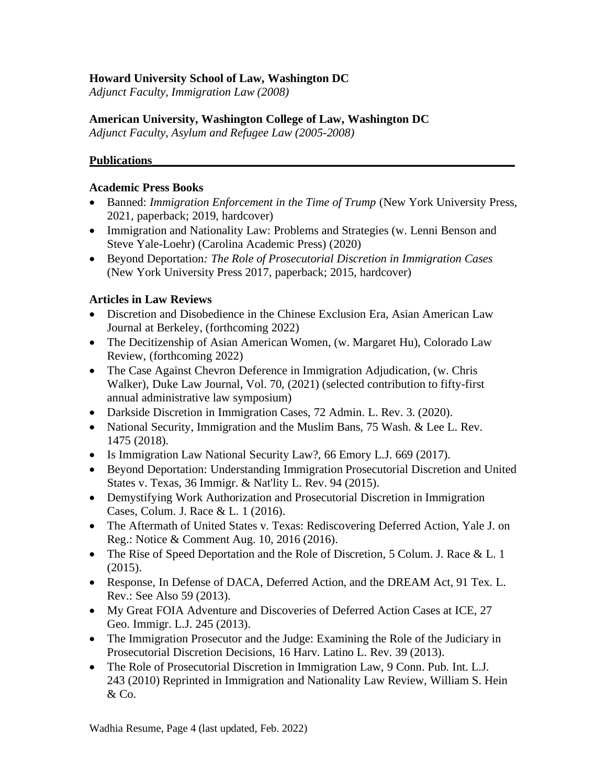### **Howard University School of Law, Washington DC**

*Adjunct Faculty, Immigration Law (2008)*

### **American University, Washington College of Law, Washington DC**

*Adjunct Faculty, Asylum and Refugee Law (2005-2008)*

### **Publications\_\_\_\_\_\_\_\_\_\_\_\_\_\_\_\_\_\_\_\_\_\_\_\_\_\_\_\_\_\_\_\_\_\_\_\_\_\_\_\_\_\_\_\_\_\_\_\_\_\_\_\_\_\_\_\_\_\_\_\_\_**

#### **Academic Press Books**

- [Banned:](https://www.amazon.com/Banned-Immigration-Enforcement-Time-Trump/dp/1479857467) *Immigration Enforcement in the Time of Trump* (New York University Press, 2021, paperback; 2019, hardcover)
- Immigration and Nationality Law: Problems and Strategies (w. Lenni Benson and Steve Yale-Loehr) (Carolina Academic Press) (2020)
- [Beyond Deportation](http://www.beyonddeportation.com/)*: The Role of Prosecutorial Discretion in Immigration Cases* (New York University Press 2017, paperback; 2015, hardcover)

#### **Articles in Law Reviews**

- Discretion and Disobedience in the Chinese Exclusion Era, Asian American Law Journal at Berkeley, (forthcoming 2022)
- The Decitizenship of Asian American Women, (w. Margaret Hu), Colorado Law Review, (forthcoming 2022)
- The Case Against Chevron Deference in Immigration [Adjudication,](https://papers.ssrn.com/sol3/papers.cfm?abstract_id=3662827) (w. Chris Walker), Duke Law Journal, Vol. 70, (2021) (selected contribution to fifty-first annual administrative law symposium)
- Darkside Discretion in [Immigration](https://papers.ssrn.com/sol3/papers.cfm?abstract_id=3544110) Cases, 72 Admin. L. Rev. 3. (2020).
- National Security, [Immigration](https://pennstatelaw.psu.edu/sites/default/files/pictures/faculty/W%20%20L.pdf) and the Muslim Bans, 75 Wash. & Lee L. Rev. 1475 (2018).
- Is [Immigration](https://papers.ssrn.com/sol3/papers.cfm?abstract_id=2821905) Law National Security Law?, 66 Emory L.J. 669 (2017).
- Beyond Deportation: [Understanding](http://papers.ssrn.com/sol3/papers.cfm?abstract_id=2821839) Immigration Prosecutorial Discretion and United States v. [Texas,](http://papers.ssrn.com/sol3/papers.cfm?abstract_id=2821839) 36 Immigr. & Nat'lity L. Rev. 94 (2015).
- Demystifying Work [Authorization](http://papers.ssrn.com/sol3/papers.cfm?abstract_id=2630133) and Prosecutorial Discretion in Immigration [Cases,](http://papers.ssrn.com/sol3/papers.cfm?abstract_id=2630133) Colum. J. Race & L. 1 (2016).
- The Aftermath of United States v. Texas: [Rediscovering](https://papers.ssrn.com/sol3/papers.cfm?abstract_id=2821158) Deferred Action, Yale J. on Reg.: Notice & Comment Aug. 10, 2016 (2016).
- The Rise of Speed [Deportation](http://papers.ssrn.com/sol3/papers.cfm?abstract_id=2486821) and the Role of Discretion, 5 Colum. J. Race & L. 1 (2015).
- [Response,](http://papers.ssrn.com/sol3/papers.cfm?abstract_id=2195735) In Defense of DACA, Deferred Action, and the [DREAM](http://papers.ssrn.com/sol3/papers.cfm?abstract_id=2195735) Act, 91 Tex. L. Rev.: See Also 59 (2013).
- My Great FOIA Adventure and [Discoveries](http://papers.ssrn.com/sol3/papers.cfm?abstract_id=2195758) of Deferred Action Cases at ICE, 27 Geo. Immigr. L.J. 245 (2013).
- The [Immigration](http://papers.ssrn.com/sol3/papers.cfm?abstract_id=2033803) Prosecutor and the Judge: Examining the Role of the Judiciary in [Prosecutorial](http://papers.ssrn.com/sol3/papers.cfm?abstract_id=2033803) Discretion Decisions, 16 Harv. Latino L. Rev. 39 (2013).
- The Role of [Prosecutorial](https://pennstatelaw.psu.edu/sites/default/files/Wadhia%20ForPrinter.pdf) Discretion in Immigration Law, 9 Conn. Pub. Int. L.J. 243 (2010) Reprinted in Immigration and Nationality Law Review, William S. Hein & Co.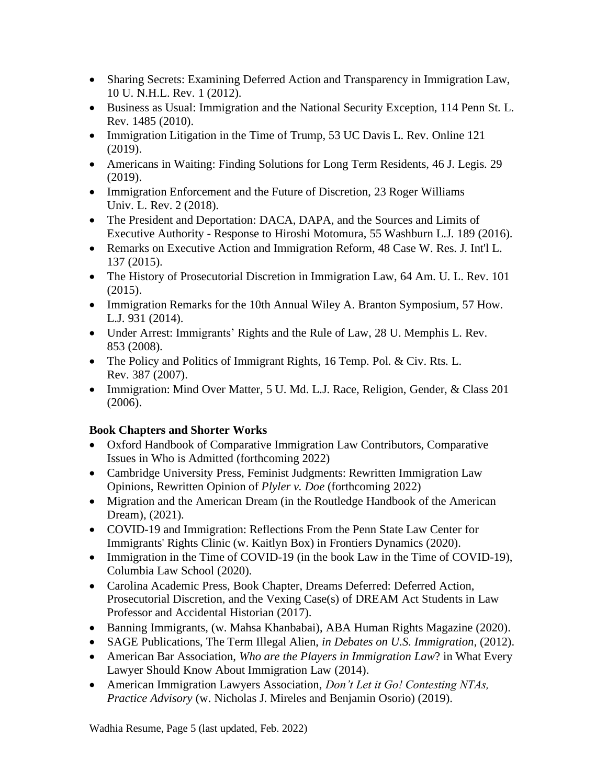- Sharing Secrets: Examining Deferred Action and [Transparency](http://papers.ssrn.com/sol3/papers.cfm?abstract_id=1879443) in Immigration Law, 10 U. N.H.L. Rev. 1 (2012).
- Business as Usual: [Immigration](http://papers.ssrn.com/sol3/papers.cfm?abstract_id=1658073) and the National Security Exception, 114 Penn St. L. Rev. 1485 (2010).
- [Immigration](https://papers.ssrn.com/sol3/papers.cfm?abstract_id=3488001) Litigation in the Time of Trump, 53 UC Davis L. Rev. Online 121 (2019).
- [Americans](https://scholarship.law.nd.edu/jleg/vol46/iss1/2/) in Waiting: Finding Solutions for Long Term Residents, 46 J. Legis. 29 (2019).
- Immigration [Enforcement](https://docs.rwu.edu/rwu_LR/vol23/iss2/4/) and the Future of Discretion, 23 Roger Williams Univ. L. Rev. 2 (2018).
- The President and [Deportation:](https://papers.ssrn.com/sol3/papers.cfm?abstract_id=2736341) DACA, DAPA, and the Sources and Limits of Executive Authority - Response to Hiroshi [Motomura,](https://papers.ssrn.com/sol3/papers.cfm?abstract_id=2736341) 55 Washburn L.J. 189 (2016).
- Remarks on Executive Action and [Immigration](http://papers.ssrn.com/sol3/papers.cfm?abstract_id=2734374) Reform, 48 Case W. Res. J. Int'l L. 137 (2015).
- The History of [Prosecutorial](http://papers.ssrn.com/sol3/papers.cfm?abstract_id=2605164) Discretion in Immigration Law, 64 Am. U. L. Rev. 101 (2015).
- [Immigration](http://papers.ssrn.com/sol3/papers.cfm?abstract_id=2461361) Remarks for the 10th Annual Wiley A. Branton Symposium, 57 How. L.J. 931 (2014).
- Under Arrest: [Immigrants'](http://papers.ssrn.com/sol3/papers.cfm?abstract_id=1346581) Rights and the Rule of Law, 28 U. Memphis L. Rev. 853 (2008).
- The Policy and Politics of [Immigrant](http://papers.ssrn.com/sol3/papers.cfm?abstract_id=1346592) Rights, 16 Temp. Pol. & Civ. Rts. L. Rev. 387 (2007).
- [Immigration:](http://papers.ssrn.com/sol3/papers.cfm?abstract_id=1346586) Mind Over Matter, 5 U. Md. L.J. Race, Religion, Gender, & Class 201 (2006).

## **Book Chapters and Shorter Works**

- Oxford Handbook of Comparative Immigration Law Contributors, Comparative Issues in Who is Admitted (forthcoming 2022)
- Cambridge University Press, Feminist Judgments: Rewritten Immigration Law Opinions, Rewritten Opinion of *Plyler v. Doe* (forthcoming 2022)
- Migration and the American Dream (in the Routledge Handbook of the American Dream), (2021).
- COVID-19 and Immigration: Reflections From the Penn State Law Center for [Immigrants' Rights Clinic](https://www.frontiersin.org/articles/10.3389/fhumd.2020.592980/full?&utm_source=Email_to_authors_&utm_medium=Email&utm_content=T1_11.5e1_author&utm_campaign=Email_publication&field=&journalName=Frontiers_in_Human_Dynamics&id=592980) (w. Kaitlyn Box) in Frontiers Dynamics (2020).
- Immigration in the Time of COVID-19 (in the book Law in the Time of [COVID-19\)](https://www.law.columbia.edu/news/archive/law-time-covid-19), Columbia Law School (2020).
- Carolina Academic Press, Book Chapter, Dreams Deferred: Deferred Action, Prosecutorial Discretion, and the Vexing Case(s) of DREAM Act Students in [Law](http://www.cap-press.com/pdf/9781611636864.pdf)  [Professor and Accidental Historian](http://www.cap-press.com/pdf/9781611636864.pdf) (2017).
- Banning [Immigrants,](https://papers.ssrn.com/sol3/papers.cfm?abstract_id=3544110) (w. Mahsa Khanbabai), ABA Human Rights Magazine (2020).
- SAGE Publications, The Term Illegal Alien, *in Debates on U.S. Immigration*, (2012).
- American Bar Association, *Who are the Players in Immigration Law*? in What Every Lawyer Should Know About Immigration Law (2014).
- American Immigration Lawyers Association, *Don't Let it Go! Contesting NTAs, Practice Advisory* (w. Nicholas J. Mireles and Benjamin Osorio) (2019).

Wadhia Resume, Page 5 (last updated, Feb. 2022)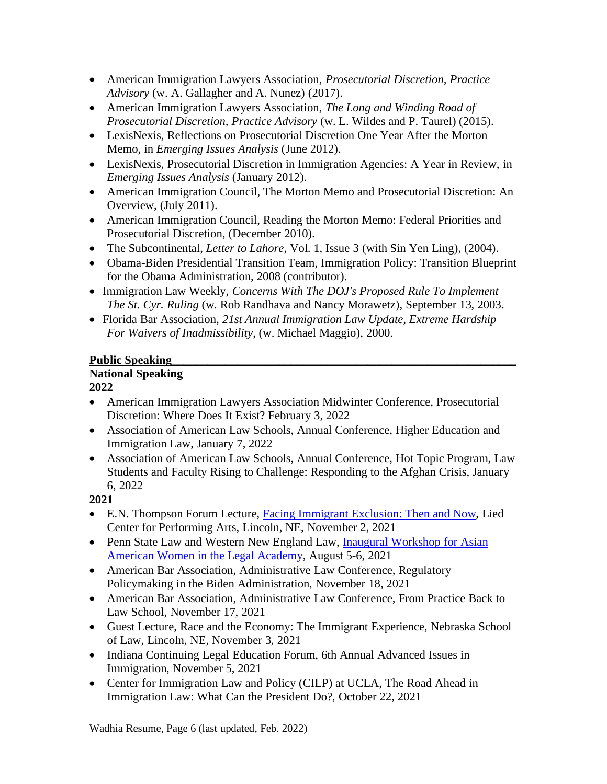- American Immigration Lawyers Association, *Prosecutorial Discretion, Practice Advisory* (w. A. Gallagher and A. Nunez) (2017).
- American Immigration Lawyers Association, *The Long and Winding Road of Prosecutorial Discretion, Practice Advisory* (w. L. Wildes and P. Taurel) (2015).
- LexisNexis, Reflections on Prosecutorial Discretion One Year After the Morton Memo, in *Emerging Issues Analysis* (June 2012).
- LexisNexis, Prosecutorial Discretion in Immigration Agencies: A Year in Review, in *Emerging Issues Analysis* (January 2012).
- American Immigration Council, [The Morton Memo and Prosecutorial Discretion: An](http://immigrationpolicy.org/special-reports/morton-memo-and-prosecutorial-discretion-overview-0)  [Overview,](http://immigrationpolicy.org/special-reports/morton-memo-and-prosecutorial-discretion-overview-0) (July 2011).
- American Immigration Council, Reading the Morton Memo: Federal Priorities and [Prosecutorial Discretion,](http://www.immigrationpolicy.org/special-reports/reading-morton-memo-federal-priorities-and-prosecutorial-discretion) (December 2010).
- The Subcontinental, *Letter to Lahore*, Vol. 1, Issue 3 (with Sin Yen Ling), (2004).
- Obama-Biden Presidential Transition Team, Immigration Policy: Transition Blueprint for the Obama Administration, 2008 (contributor).
- Immigration Law Weekly, *Concerns With The DOJ's Proposed Rule To Implement The St. Cyr. Ruling* (w. Rob Randhava and Nancy Morawetz), September 13, 2003.
- Florida Bar Association, *21st Annual Immigration Law Update, Extreme Hardship For Waivers of Inadmissibility*, (w. Michael Maggio), 2000.

## Public Speaking

# **National Speaking**

## **2022**

- American Immigration Lawyers Association Midwinter Conference, Prosecutorial Discretion: Where Does It Exist? February 3, 2022
- Association of American Law Schools, Annual Conference, Higher Education and Immigration Law, January 7, 2022
- Association of American Law Schools, Annual Conference, Hot Topic Program, Law Students and Faculty Rising to Challenge: Responding to the Afghan Crisis, January 6, 2022

- E.N. Thompson Forum Lecture, Facing Immigrant [Exclusion:](https://mediahub.unl.edu/media/18254) Then and Now, Lied Center for Performing Arts, Lincoln, NE, November 2, 2021
- Penn State Law and Western New England Law, Inaugural Workshop for Asian [American Women in the Legal Academy,](https://pennstatelaw.psu.edu/events/asian-american-women-workshop) August 5-6, 2021
- American Bar Association, Administrative Law Conference, Regulatory Policymaking in the Biden Administration, November 18, 2021
- American Bar Association, Administrative Law Conference, From Practice Back to Law School, November 17, 2021
- Guest Lecture, Race and the Economy: The Immigrant Experience, Nebraska School of Law, Lincoln, NE, November 3, 2021
- Indiana Continuing Legal Education Forum, 6th Annual Advanced Issues in Immigration, November 5, 2021
- Center for Immigration Law and Policy (CILP) at UCLA, The Road Ahead in Immigration Law: What Can the President Do?, October 22, 2021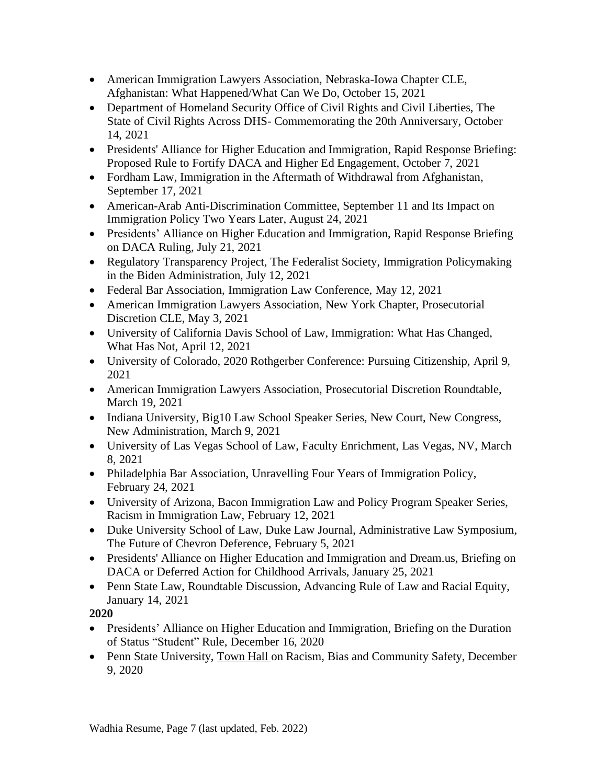- American Immigration Lawyers Association, Nebraska-Iowa Chapter CLE, Afghanistan: What Happened/What Can We Do, October 15, 2021
- Department of Homeland Security Office of Civil Rights and Civil Liberties, The State of Civil Rights Across DHS- Commemorating the 20th Anniversary, October 14, 2021
- Presidents' Alliance for Higher Education and Immigration, Rapid Response Briefing: Proposed Rule to Fortify DACA and Higher Ed Engagement, October 7, 2021
- Fordham Law, Immigration in the Aftermath of Withdrawal from Afghanistan, September 17, 2021
- American-Arab Anti-Discrimination Committee, September 11 and Its Impact on Immigration Policy Two Years Later, August 24, 2021
- Presidents' Alliance on Higher Education and Immigration, Rapid Response Briefing on DACA Ruling, July 21, 2021
- Regulatory Transparency Project, The Federalist Society, Immigration Policymaking in the Biden Administration, July 12, 2021
- Federal Bar Association, Immigration Law Conference, May 12, 2021
- American Immigration Lawyers Association, New York Chapter, Prosecutorial Discretion CLE, May 3, 2021
- University of California Davis School of Law, Immigration: What Has Changed, What Has Not, April 12, 2021
- University of Colorado, 2020 Rothgerber Conference: Pursuing Citizenship, April 9, 2021
- American Immigration Lawyers Association, Prosecutorial Discretion Roundtable, March 19, 2021
- Indiana University, Big10 Law School Speaker Series, New Court, New Congress, New Administration, March 9, 2021
- University of Las Vegas School of Law, Faculty Enrichment, Las Vegas, NV, March 8, 2021
- Philadelphia Bar Association, Unravelling Four Years of Immigration Policy, February 24, 2021
- University of Arizona, Bacon Immigration Law and Policy Program Speaker Series, Racism in Immigration Law, February 12, 2021
- Duke University School of Law, Duke Law Journal, Administrative Law Symposium, The Future of Chevron Deference, February 5, 2021
- Presidents' Alliance on Higher Education and Immigration and Dream.us, Briefing on DACA or Deferred Action for Childhood Arrivals, January 25, 2021
- Penn State Law, Roundtable Discussion, Advancing Rule of Law and Racial Equity, January 14, 2021

- Presidents' Alliance on Higher Education and Immigration, Briefing on the Duration of Status "Student" Rule, December 16, 2020
- Penn State University, [Town](https://news.psu.edu/story/641651/2020/12/09/administration/racism-bias-and-community-safety-recommendations-discussed) Ha[l](https://news.psu.edu/story/641651/2020/12/09/administration/racism-bias-and-community-safety-recommendations-discussed)l on Racism, Bias and Community Safety, December 9, 2020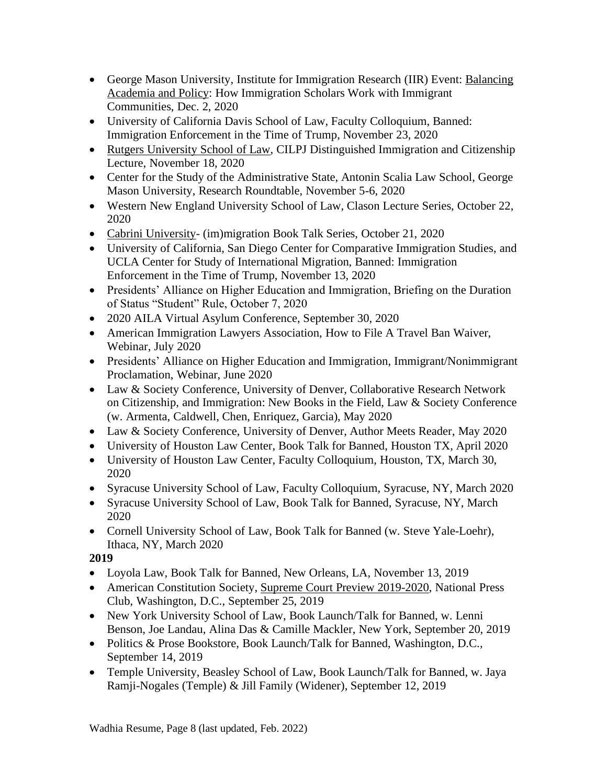- George Mason University, Institute for Immigration Research (IIR) Event: [Balancing](https://iir.gmu.edu/articles/15115) [Academia](https://iir.gmu.edu/articles/15115) and Policy: How Immigration Scholars Work with Immigrant Communities, Dec. 2, 2020
- University of California Davis School of Law, Faculty Colloquium, Banned: Immigration Enforcement in the Time of Trump, November 23, 2020
- Rutgers [University](https://events.law.rutgers.edu/#!view/event/date/20201118/event_id/914) School of Law, CILPJ Distinguished Immigration and Citizenship Lecture, November 18, 2020
- Center for the Study of the Administrative State, Antonin Scalia Law School, George Mason University, Research Roundtable, November 5-6, 2020
- Western New England University School of Law, Clason Lecture Series, October 22, 2020
- Cabrini [University-](https://www.cabrini.edu/about/departments/academic-departments/school-of-humanities-and-social-sciences/center-on-immigration/center-events) (im)migration Book Talk Series, October 21, 2020
- University of California, San Diego Center for Comparative Immigration Studies, and UCLA Center for Study of International Migration, Banned: Immigration Enforcement in the Time of Trump, November 13, 2020
- Presidents' Alliance on Higher Education and Immigration, Briefing on the Duration of Status "Student" Rule, October 7, 2020
- 2020 AILA Virtual Asylum Conference, September 30, 2020
- American Immigration Lawyers Association, How to File A Travel Ban Waiver, Webinar, July 2020
- Presidents' Alliance on Higher Education and Immigration, Immigrant/Nonimmigrant Proclamation, Webinar, June 2020
- Law & Society Conference, University of Denver, Collaborative Research Network on Citizenship, and Immigration: New Books in the Field, Law & Society Conference (w. Armenta, Caldwell, Chen, Enriquez, Garcia), May 2020
- Law & Society Conference, University of Denver, Author Meets Reader, May 2020
- University of Houston Law Center, Book Talk for Banned, Houston TX, April 2020
- University of Houston Law Center, Faculty Colloquium, Houston, TX, March 30, 2020
- Syracuse University School of Law, Faculty Colloquium, Syracuse, NY, March 2020
- Syracuse University School of Law, Book Talk for Banned, Syracuse, NY, March 2020
- Cornell University School of Law, Book Talk for Banned (w. Steve Yale-Loehr), Ithaca, NY, March 2020

- Loyola Law, Book Talk for Banned, New Orleans, LA, November 13, 2019
- American Constitution Society, Supreme Court Preview [2019-2020,](https://www.acslaw.org/event/the-2019-2020-supreme-court-preview/) National Press Club, Washington, D.C., September 25, 2019
- New York University School of Law, Book Launch/Talk for Banned, w. Lenni Benson, Joe Landau, Alina Das & Camille Mackler, New York, September 20, 2019
- Politics & Prose Bookstore, Book Launch/Talk for Banned, Washington, D.C., September 14, 2019
- Temple University, Beasley School of Law, Book Launch/Talk for Banned, w. Jaya Ramji-Nogales (Temple) & Jill Family (Widener), September 12, 2019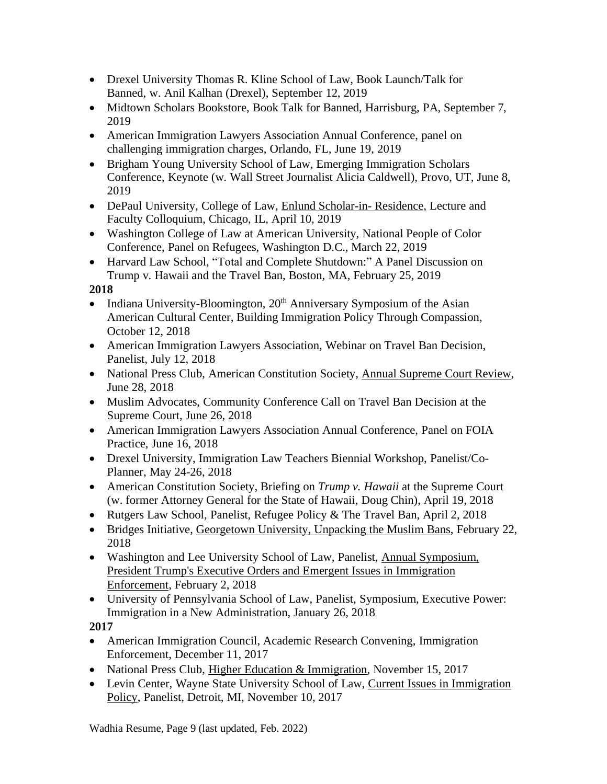- Drexel University Thomas R. Kline School of Law, Book Launch/Talk for Banned, w. Anil Kalhan (Drexel), September 12, 2019
- Midtown Scholars Bookstore, Book Talk for Banned, Harrisburg, PA, September 7, 2019
- American Immigration Lawyers Association Annual Conference, panel on challenging immigration charges, Orlando, FL, June 19, 2019
- Brigham Young University School of Law, Emerging Immigration Scholars Conference, Keynote (w. Wall Street Journalist Alicia Caldwell), Provo, UT, June 8, 2019
- DePaul University, College of Law, Enlund [Scholar-in-](https://www.eventbrite.com/e/banned-immigration-enforcement-in-the-time-of-trump-by-prof-shoba-wadhia-tickets-58160198720) Residence, Lecture and Faculty Colloquium, Chicago, IL, April 10, 2019
- Washington College of Law at American University, National People of Color Conference, Panel on Refugees, Washington D.C., March 22, 2019
- Harvard Law School, "Total and Complete Shutdown:" A Panel Discussion on Trump v. Hawaii and the Travel Ban, Boston, MA, February 25, 2019

- Indiana University-Bloomington,  $20<sup>th</sup>$  Anniversary Symposium of the Asian American Cultural Center, Building Immigration Policy Through Compassion, October 12, 2018
- American Immigration Lawyers Association, Webinar on Travel Ban Decision, Panelist, July 12, 2018
- National Press Club, American Constitution Society, Annual [Supreme](https://www.c-span.org/video/?447684-1/legal-experts-discuss-major-supreme-court-decisions-2017) Court Review, June 28, 2018
- Muslim Advocates, Community Conference Call on Travel Ban Decision at the Supreme Court, June 26, 2018
- American Immigration Lawyers Association Annual Conference, Panel on FOIA Practice, June 16, 2018
- Drexel University, Immigration Law Teachers Biennial Workshop, Panelist/Co-Planner, May 24-26, 2018
- American Constitution Society, Briefing on *Trump v. Hawaii* at the Supreme Court (w. former Attorney General for the State of Hawaii, Doug Chin), April 19, 2018
- Rutgers Law School, Panelist, Refugee Policy & The Travel Ban, April 2, 2018
- Bridges Initiative, [Georgetown](http://sfs.georgetown.edu/sfsevent/unpacking-the-muslim-bans-with-shoba-wadhia/) University, Unpacking the Muslim Bans, February 22, 2018
- Washington and Lee University School of Law, Panelist, Annual [Symposium,](http://lawreview.journals.wlu.io/current-symposium/) President Trump's Executive Orders and Emergent Issues in [Immigration](http://lawreview.journals.wlu.io/current-symposium/) [Enforcement,](http://lawreview.journals.wlu.io/current-symposium/) February 2, 2018
- University of Pennsylvania School of Law, Panelist, Symposium, Executive Power: Immigration in a New Administration, January 26, 2018

**2017**

- American Immigration Council, Academic Research Convening, Immigration Enforcement, December 11, 2017
- National Press Club, Higher Education & [Immigration,](http://browse.calendar.gwu.edu/EventList.aspx?fromdate=11/1/2017&todate=11/30/2017&display=Month&type=public&eventidn=15282&view=EventDetails&information_id=28777&print=print) November 15, 2017
- Levin Center, Wayne State University School of Law, Current Issues in [Immigration](https://law.wayne.edu/levin-center/currentissuesinimmigrationlaw) [Policy,](https://law.wayne.edu/levin-center/currentissuesinimmigrationlaw) Panelist, Detroit, MI, November 10, 2017

Wadhia Resume, Page 9 (last updated, Feb. 2022)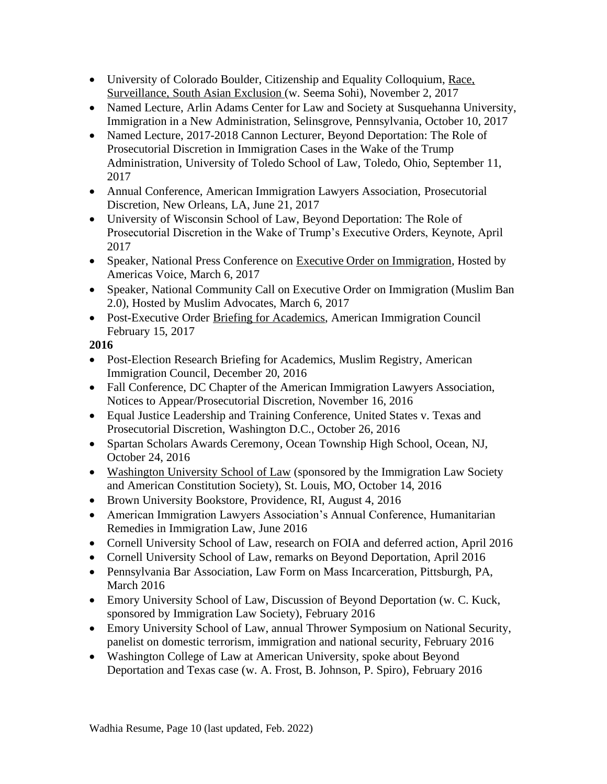- University of Colorado Boulder, Citizenship and Equality Colloquium, [Race,](https://www.colorado.edu/law/research/faculty-colloquia-and-distinguished-lecturers/citizenship-and-equality-colloquium) [Surveillance,](https://www.colorado.edu/law/research/faculty-colloquia-and-distinguished-lecturers/citizenship-and-equality-colloquium) South Asian Exclusion (w. Seema Sohi), November 2, 2017
- Named Lecture, Arlin Adams Center for Law and Society at Susquehanna University, Immigration in a New Administration, Selinsgrove, Pennsylvania, October 10, 2017
- Named Lecture, 2017-2018 Cannon Lecturer, Beyond Deportation: The Role of Prosecutorial Discretion in Immigration Cases in the Wake of the Trump Administration, University of Toledo School of Law, Toledo, Ohio, September 11, 2017
- Annual Conference, American Immigration Lawyers Association, Prosecutorial Discretion, New Orleans, LA, June 21, 2017
- University of Wisconsin School of Law, Beyond Deportation: The Role of Prosecutorial Discretion in the Wake of Trump's Executive Orders, Keynote, April 2017
- Speaker, National Press Conference on [Executive Order on Immigration,](https://pennstatelaw.psu.edu/sites/default/files/AVEF%20Press%20Release%20on%20Immigration%20EO.pdf) Hosted by Americas Voice, March 6, 2017
- Speaker, National Community Call on Executive Order on Immigration (Muslim Ban 2.0), Hosted by Muslim Advocates, March 6, 2017
- Post-Executive Order [Briefing for Academics,](https://www.americanimmigrationcouncil.org/sites/default/files/research_briefing_on_the_new_immigration_executive_orders_02.16.17.mp3) American Immigration Council February 15, 2017

- Post-Election Research Briefing for Academics, Muslim Registry, American Immigration Council, December 20, 2016
- Fall Conference, DC Chapter of the American Immigration Lawyers Association, Notices to Appear/Prosecutorial Discretion, November 16, 2016
- Equal Justice Leadership and Training Conference, United States v. Texas and Prosecutorial Discretion, Washington D.C., October 26, 2016
- Spartan Scholars Awards Ceremony, Ocean Township High School, Ocean, NJ, October 24, 2016
- [Washington University School of Law](http://media.wix.com/ugd/6e1c09_8fb5bdace2d344588fcd4e2d6b040f4c.pdf) (sponsored by the Immigration Law Society and American Constitution Society), St. Louis, MO, October 14, 2016
- [Brown University Bookstore,](http://media.wix.com/ugd/6e1c09_86d8bf9d8d764dfeae3d7e36e1e8ff46.pdf) Providence, RI, August 4, 2016
- American Immigration Lawyers Association's Annual Conference, Humanitarian Remedies in Immigration Law, June 2016
- Cornell University School of Law, research on FOIA and deferred action, April 2016
- Cornell University School of Law, remarks on Beyond Deportation, April 2016
- Pennsylvania Bar Association, Law Form on Mass Incarceration, Pittsburgh, PA, March 2016
- Emory University School of Law, Discussion of Beyond Deportation (w. C. Kuck, sponsored by Immigration Law Society), February 2016
- Emory University School of Law, annual Thrower Symposium on National Security, panelist on domestic terrorism, immigration and national security, February 2016
- Washington College of Law at American University, spoke about Beyond Deportation and Texas case (w. A. Frost, B. Johnson, P. Spiro), February 2016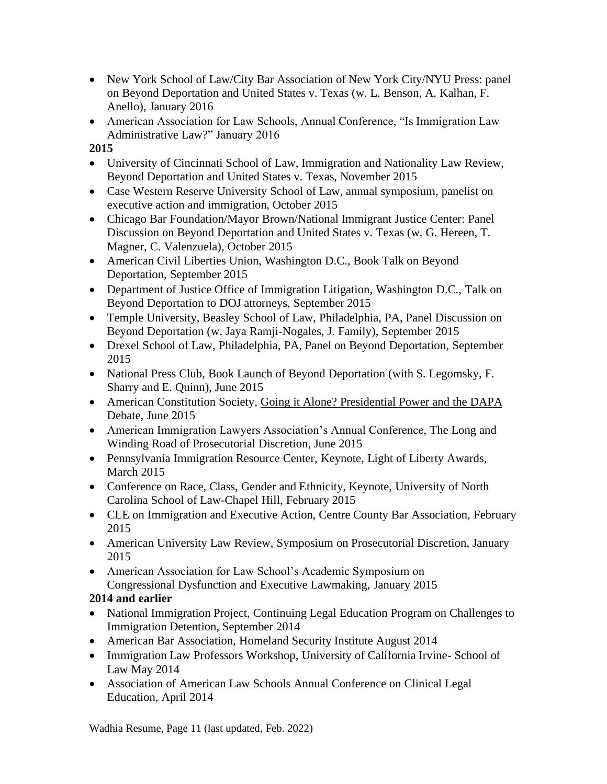- New York School of Law/City Bar Association of New York City/NYU Press: panel on Beyond Deportation and United States v. Texas (w. L. Benson, A. Kalhan, F. Anello), January 2016
- American Association for Law Schools, Annual Conference, "Is Immigration Law Administrative Law?" January 2016

- University of Cincinnati School of Law, Immigration and Nationality Law Review, Beyond Deportation and United States v. Texas, November 2015
- Case Western Reserve University School of Law, annual symposium, panelist on executive action and immigration, October 2015
- Chicago Bar Foundation/Mayor Brown/National Immigrant Justice Center: Panel Discussion on Beyond Deportation and United States v. Texas (w. G. Hereen, T. Magner, C. Valenzuela), October 2015
- American Civil Liberties Union, Washington D.C., Book Talk on Beyond Deportation, September 2015
- Department of Justice Office of Immigration Litigation, Washington D.C., Talk on Beyond Deportation to DOJ attorneys, September 2015
- [Temple University, Beasley](http://media.wix.com/ugd/6e1c09_b9d8ea0f2c984976864b5fcd31cc0959.pdf) School of Law, Philadelphia, PA, Panel Discussion on Beyond Deportation (w. Jaya Ramji-Nogales, J. Family), September 2015
- [Drexel School of Law,](http://media.wix.com/ugd/6e1c09_881f2ae9fd024c7e91d332e45d25cebe.pdf) Philadelphia, PA, Panel on Beyond Deportation, September 2015
- National Press Club, Book Launch of Beyond Deportation (with S. Legomsky, F. Sharry and E. Quinn), June 2015
- American Constitution Society, Going it Alone? Presidential Power and the DAPA [Debate,](https://www.acslaw.org/news/video/going-it-alone-presidential-power-and-the-dapa-debate) June 2015
- American Immigration Lawyers Association's Annual Conference, The Long and Winding Road of Prosecutorial Discretion, June 2015
- Pennsylvania Immigration Resource Center, Keynote, Light of Liberty Awards, March 2015
- Conference on Race, Class, Gender and Ethnicity, Keynote, University of North Carolina School of Law-Chapel Hill, February 2015
- CLE on Immigration and Executive Action, Centre County Bar Association, February 2015
- American University Law Review, Symposium on Prosecutorial Discretion, January 2015
- American Association for Law School's Academic Symposium on Congressional Dysfunction and Executive Lawmaking, January 2015

# **2014 and earlier**

- National Immigration Project, Continuing Legal Education Program on Challenges to Immigration Detention, September 2014
- American Bar Association, Homeland Security Institute August 2014
- Immigration Law Professors Workshop, University of California Irvine- School of Law May 2014
- Association of American Law Schools Annual Conference on Clinical Legal Education, April 2014

Wadhia Resume, Page 11 (last updated, Feb. 2022)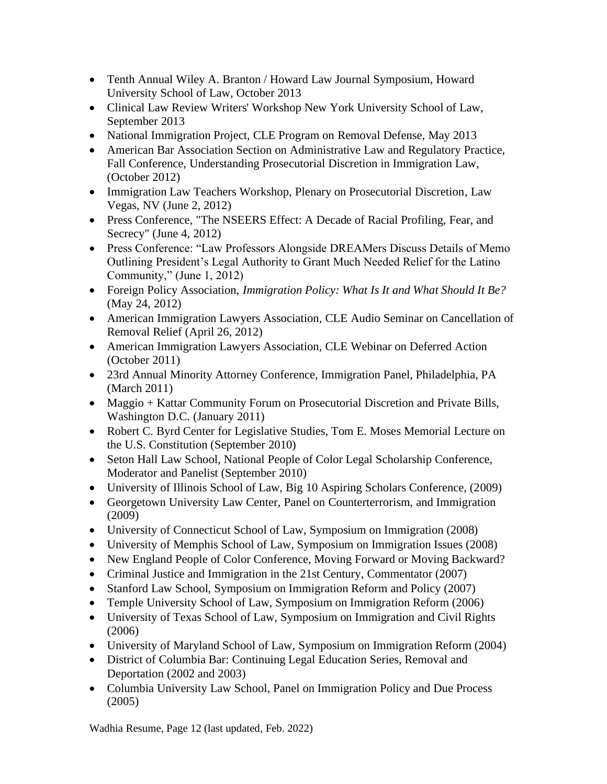- Tenth Annual Wiley A. Branton / Howard Law Journal Symposium, Howard University School of Law, October 2013
- Clinical Law Review Writers' Workshop New York University School of Law, September 2013
- National Immigration Project, CLE Program on Removal Defense, May 2013
- American Bar Association Section on Administrative Law and Regulatory Practice, Fall Conference, Understanding Prosecutorial Discretion in Immigration Law, (October 2012)
- Immigration Law Teachers Workshop, Plenary on Prosecutorial Discretion, Law Vegas, NV (June 2, 2012)
- Press Conference, "The NSEERS Effect: A Decade of Racial Profiling, Fear, and Secrecy" (June 4, 2012)
- Press Conference: "Law Professors Alongside DREAMers Discuss Details of Memo Outlining President's Legal Authority to Grant Much Needed Relief for the Latino Community," (June 1, 2012)
- Foreign Policy Association, *Immigration Policy: What Is It and What Should It Be?* (May 24, 2012)
- American Immigration Lawyers Association, CLE Audio Seminar on Cancellation of Removal Relief (April 26, 2012)
- American Immigration Lawyers Association, CLE Webinar on Deferred Action (October 2011)
- 23rd Annual Minority Attorney Conference, Immigration Panel, Philadelphia, PA (March 2011)
- Maggio + Kattar Community Forum on Prosecutorial Discretion and Private Bills, Washington D.C. (January 2011)
- Robert C. Byrd Center for Legislative Studies, Tom E. Moses Memorial Lecture on the U.S. Constitution (September 2010)
- Seton Hall Law School, National People of Color Legal Scholarship Conference, Moderator and Panelist (September 2010)
- University of Illinois School of Law, Big 10 Aspiring Scholars Conference, (2009)
- Georgetown University Law Center, Panel on Counterterrorism, and Immigration (2009)
- University of Connecticut School of Law, Symposium on Immigration (2008)
- University of Memphis School of Law, Symposium on Immigration Issues (2008)
- New England People of Color Conference, Moving Forward or Moving Backward?
- Criminal Justice and Immigration in the 21st Century, Commentator (2007)
- Stanford Law School, Symposium on Immigration Reform and Policy (2007)
- Temple University School of Law, Symposium on Immigration Reform (2006)
- University of Texas School of Law, Symposium on Immigration and Civil Rights (2006)
- University of Maryland School of Law, Symposium on Immigration Reform (2004)
- District of Columbia Bar: Continuing Legal Education Series, Removal and Deportation (2002 and 2003)
- Columbia University Law School, Panel on Immigration Policy and Due Process (2005)

Wadhia Resume, Page 12 (last updated, Feb. 2022)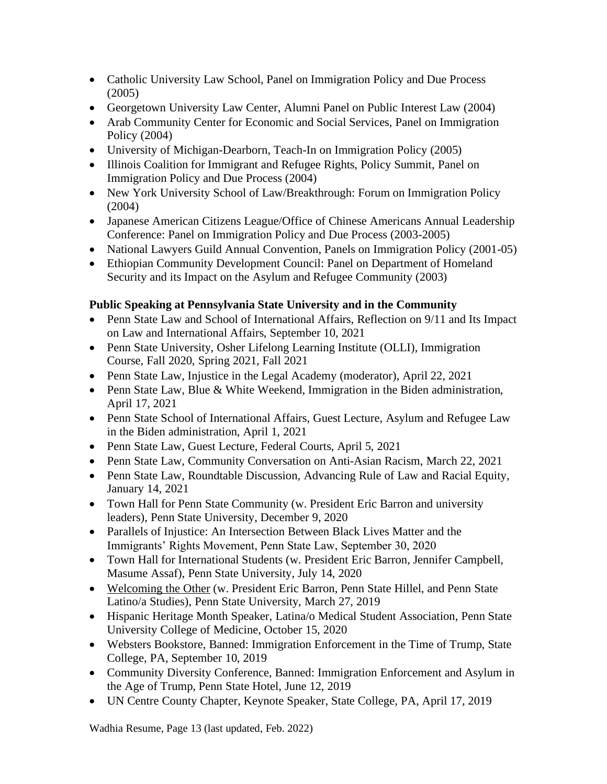- Catholic University Law School, Panel on Immigration Policy and Due Process (2005)
- Georgetown University Law Center, Alumni Panel on Public Interest Law (2004)
- Arab Community Center for Economic and Social Services, Panel on Immigration Policy (2004)
- University of Michigan-Dearborn, Teach-In on Immigration Policy (2005)
- Illinois Coalition for Immigrant and Refugee Rights, Policy Summit, Panel on Immigration Policy and Due Process (2004)
- New York University School of Law/Breakthrough: Forum on Immigration Policy (2004)
- Japanese American Citizens League/Office of Chinese Americans Annual Leadership Conference: Panel on Immigration Policy and Due Process (2003-2005)
- National Lawyers Guild Annual Convention, Panels on Immigration Policy (2001-05)
- Ethiopian Community Development Council: Panel on Department of Homeland Security and its Impact on the Asylum and Refugee Community (2003)

# **Public Speaking at Pennsylvania State University and in the Community**

- Penn State Law and School of International Affairs, Reflection on 9/11 and Its Impact on Law and International Affairs, September 10, 2021
- Penn State University, Osher Lifelong Learning Institute (OLLI), Immigration Course, Fall 2020, Spring 2021, Fall 2021
- Penn State Law, Injustice in the Legal Academy (moderator), April 22, 2021
- Penn State Law, Blue & White Weekend, Immigration in the Biden administration, April 17, 2021
- Penn State School of International Affairs, Guest Lecture, Asylum and Refugee Law in the Biden administration, April 1, 2021
- Penn State Law, Guest Lecture, Federal Courts, April 5, 2021
- Penn State Law, Community Conversation on Anti-Asian Racism, March 22, 2021
- Penn State Law, Roundtable Discussion, Advancing Rule of Law and Racial Equity, January 14, 2021
- Town Hall for Penn State Community (w. President Eric Barron and university leaders), Penn State University, December 9, 2020
- Parallels of Injustice: An Intersection Between Black Lives Matter and the Immigrants' Rights Movement, Penn State Law, September 30, 2020
- Town Hall for International Students (w. President Eric Barron, Jennifer Campbell, Masume Assaf), Penn State University, July 14, 2020
- [Welcoming](https://www.collegian.psu.edu/news/campus/article_0eaf54d4-517d-11e9-bed0-3799d5178570.html) the Other (w. President Eric Barron, Penn State Hillel, and Penn State Latino/a Studies), Penn State University, March 27, 2019
- Hispanic Heritage Month Speaker, Latina/o Medical Student Association, Penn State University College of Medicine, October 15, 2020
- Websters Bookstore, Banned: Immigration Enforcement in the Time of Trump, State College, PA, September 10, 2019
- Community Diversity Conference, Banned: Immigration Enforcement and Asylum in the Age of Trump, Penn State Hotel, June 12, 2019
- UN Centre County Chapter, Keynote Speaker, State College, PA, April 17, 2019

Wadhia Resume, Page 13 (last updated, Feb. 2022)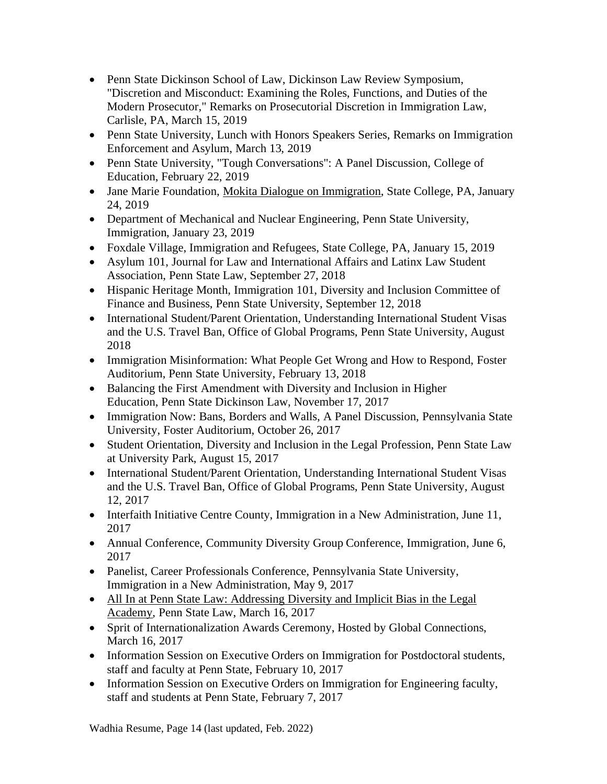- Penn State Dickinson School of Law, Dickinson Law Review Symposium, "Discretion and Misconduct: Examining the Roles, Functions, and Duties of the Modern Prosecutor," Remarks on Prosecutorial Discretion in Immigration Law, Carlisle, PA, March 15, 2019
- Penn State University, Lunch with Honors Speakers Series, Remarks on Immigration Enforcement and Asylum, March 13, 2019
- Penn State University, "Tough Conversations": A Panel Discussion, College of Education, February 22, 2019
- Jane Marie Foundation, Mokita Dialogue on [Immigration,](https://www.facebook.com/JanaMarieFoundation/photos/gm.1994945477263419/2025431154237136/?type=3) State College, PA, January 24, 2019
- Department of Mechanical and Nuclear Engineering, Penn State University, Immigration, January 23, 2019
- Foxdale Village, Immigration and Refugees, State College, PA, January 15, 2019
- Asylum 101, Journal for Law and International Affairs and Latinx Law Student Association, Penn State Law, September 27, 2018
- Hispanic Heritage Month, Immigration 101, Diversity and Inclusion Committee of Finance and Business, Penn State University, September 12, 2018
- International Student/Parent Orientation, Understanding International Student Visas and the U.S. Travel Ban, Office of Global Programs, Penn State University, August 2018
- Immigration Misinformation: What People Get Wrong and How to Respond, Foster Auditorium, Penn State University, February 13, 2018
- Balancing the First Amendment with Diversity and Inclusion in Higher Education, Penn State Dickinson Law, November 17, 2017
- Immigration Now: Bans, Borders and Walls, A Panel Discussion, Pennsylvania State University, Foster Auditorium, October 26, 2017
- Student Orientation, Diversity and Inclusion in the Legal Profession, Penn State Law at University Park, August 15, 2017
- International Student/Parent Orientation, Understanding International Student Visas and the U.S. Travel Ban, Office of Global Programs, Penn State University, August 12, 2017
- Interfaith Initiative Centre County, Immigration in a New Administration, June 11, 2017
- Annual Conference, Community Diversity Group Conference, Immigration, June 6, 2017
- Panelist, Career Professionals Conference, Pennsylvania State University, Immigration in a New Administration, May 9, 2017
- All In at Penn State Law: Addressing Diversity and Implicit Bias in the Legal [Academy,](https://pennstatelaw.psu.edu/events/all-penn-state-law-addressing-diversity-and-implicit-bias-legal-academy) Penn State Law, March 16, 2017
- Sprit of Internationalization Awards Ceremony, Hosted by Global Connections, March 16, 2017
- Information Session on Executive Orders on Immigration for Postdoctoral students, staff and faculty at Penn State, February 10, 2017
- Information Session on Executive Orders on Immigration for Engineering faculty, staff and students at Penn State, February 7, 2017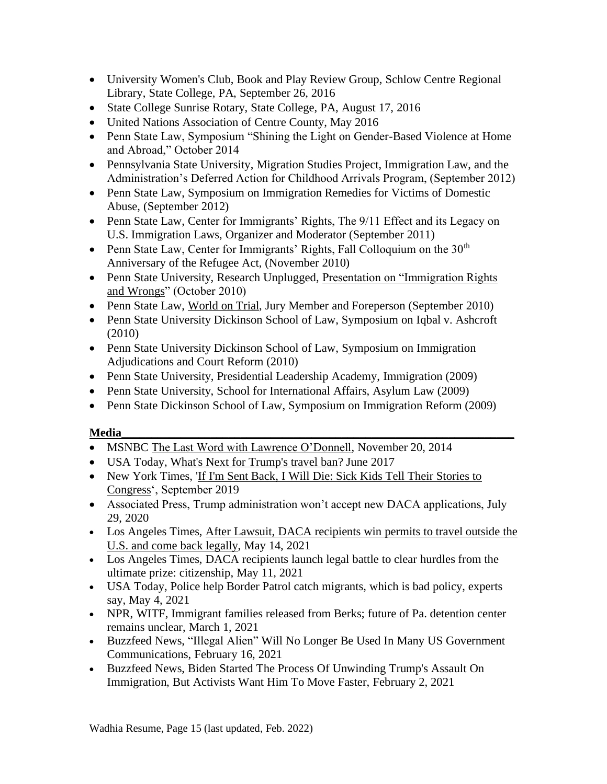- University Women's Club, Book and Play Review Group, Schlow Centre Regional Library, State College, PA, September 26, 2016
- State College Sunrise Rotary, State College, PA, August 17, 2016
- United Nations Association of Centre County, May 2016
- Penn State Law, Symposium "Shining the Light on Gender-Based Violence at Home and Abroad," October 2014
- Pennsylvania State University, Migration Studies Project, Immigration Law, and the Administration's Deferred Action for Childhood Arrivals Program, (September 2012)
- Penn State Law, Symposium on Immigration Remedies for Victims of Domestic Abuse, (September 2012)
- Penn State Law, Center for Immigrants' Rights, The 9/11 Effect and its Legacy on U.S. Immigration Laws, Organizer and Moderator (September 2011)
- Penn State Law, Center for Immigrants' Rights, Fall Colloquium on the  $30<sup>th</sup>$ Anniversary of the Refugee Act, (November 2010)
- Penn State University, Research Unplugged, Presentation on "Immigration Rights [and Wrongs"](http://www.rps.psu.edu/unplugged/fall10/october27.html) (October 2010)
- Penn State Law, [World on Trial,](http://worldontrial.psu.edu/) Jury Member and Foreperson (September 2010)
- Penn State University Dickinson School of Law, Symposium on Iqbal v. Ashcroft (2010)
- Penn State University Dickinson School of Law, Symposium on Immigration Adjudications and Court Reform (2010)
- Penn State University, Presidential Leadership Academy, Immigration (2009)
- Penn State University, School for International Affairs, Asylum Law (2009)
- Penn State Dickinson School of Law, Symposium on Immigration Reform (2009)

## **Media\_\_\_\_\_\_\_\_\_\_\_\_\_\_\_\_\_\_\_\_\_\_\_\_\_\_\_\_\_\_\_\_\_\_\_\_\_\_\_\_\_\_\_\_\_\_\_\_\_\_\_\_\_\_\_\_\_\_\_\_\_\_\_\_\_\_**

- MSNBC [The Last Word with Lawrence O'Donnell,](http://www.msnbc.com/the-last-word/watch/obama--we-are-a-nation-of-immigrants-361603139749) November 20, 2014
- USA Today, [What's Next for Trump's travel ban?](https://www.usatoday.com/story/news/world/2017/06/27/whats-next-trumps-travel-ban/431693001/) June 2017
- New York Times, ['If I'm Sent Back, I Will Die: Sick Kids Tell Their Stories to](https://www.nytimes.com/2019/09/11/us/politics/immigrant-deportation-illnesses.html) [Congress'](https://www.nytimes.com/2019/09/11/us/politics/immigrant-deportation-illnesses.html), September 2019
- Associated Press, Trump administration won't accept new DACA applications, July 29, 2020
- Los Angeles Times, After Lawsuit, DACA [recipients](https://www.latimes.com/california/story/2021-05-14/daca-recipients-win-permits-to-travel-outside-us) win permits to travel outside the U.S. and come back [legally,](https://www.latimes.com/california/story/2021-05-14/daca-recipients-win-permits-to-travel-outside-us) May 14, 2021
- Los Angeles Times, DACA recipients launch legal battle to clear hurdles from the ultimate prize: citizenship, May 11, 2021
- USA Today, Police help Border Patrol catch migrants, which is bad policy, experts say, May 4, 2021
- NPR, WITF, Immigrant families released from Berks; future of Pa. detention center remains unclear, March 1, 2021
- Buzzfeed News, "Illegal Alien" Will No Longer Be Used In Many US Government Communications, February 16, 2021
- Buzzfeed News, Biden Started The Process Of Unwinding Trump's Assault On Immigration, But Activists Want Him To Move Faster, February 2, 2021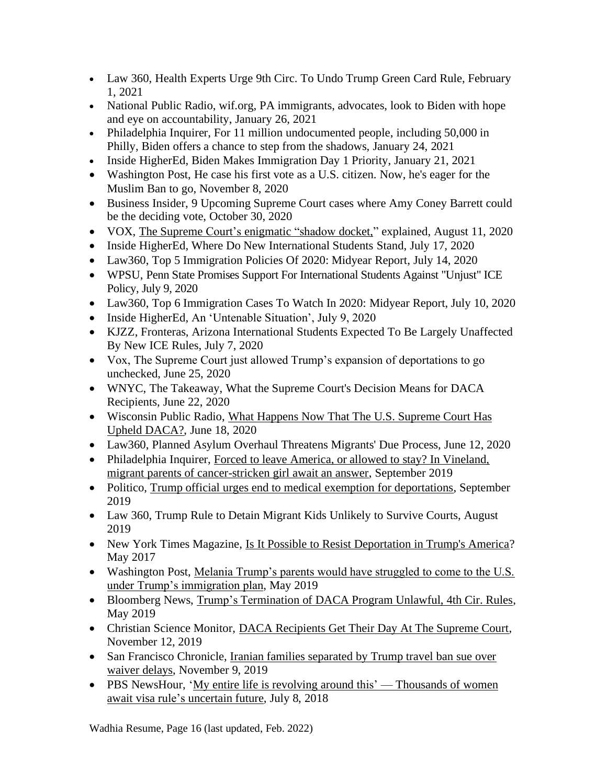- Law 360, Health Experts Urge 9th Circ. To Undo Trump Green Card Rule, February 1, 2021
- National Public Radio, wif.org, PA immigrants, advocates, look to Biden with hope and eye on accountability, January 26, 2021
- Philadelphia Inquirer, For 11 million undocumented people, including 50,000 in Philly, Biden offers a chance to step from the shadows, January 24, 2021
- Inside HigherEd, Biden Makes Immigration Day 1 Priority, January 21, 2021
- Washington Post, He case his first vote as a U.S. citizen. Now, he's eager for the Muslim Ban to go, November 8, 2020
- Business Insider, 9 Upcoming Supreme Court cases where Amy Coney Barrett could be the deciding vote, October 30, 2020
- VOX, The Supreme Court's [enigmatic](https://www.vox.com/2020/8/11/21356913/supreme-court-shadow-docket-jail-asylum-covid-immigrants-sonia-sotomayor-barnes-ahlman) "shadow docket," explained, August 11, 2020
- Inside HigherEd, Where Do New International Students Stand, July 17, 2020
- Law360, Top 5 Immigration Policies Of 2020: Midyear Report, July 14, 2020
- WPSU, Penn State Promises Support For International Students Against "Uniust" ICE Policy, July 9, 2020
- Law360, Top 6 Immigration Cases To Watch In 2020: Midyear Report, July 10, 2020
- Inside HigherEd, An 'Untenable Situation', July 9, 2020
- KJZZ, Fronteras, Arizona International Students Expected To Be Largely Unaffected By New ICE Rules, July 7, 2020
- Vox, The Supreme Court just allowed Trump's expansion of deportations to go unchecked, June 25, 2020
- WNYC, The Takeaway, What the Supreme Court's Decision Means for DACA Recipients, June 22, 2020
- Wisconsin Public Radio, What Happens Now That The U.S. [Supreme](https://www.wpr.org/what-happens-now-u-s-supreme-court-has-upheld-daca) Court Has Upheld [DACA?,](https://www.wpr.org/what-happens-now-u-s-supreme-court-has-upheld-daca) June 18, 2020
- Law360, Planned Asylum Overhaul Threatens Migrants' Due Process, June 12, 2020
- Philadelphia Inquirer, Forced to leave America, or allowed to stay? In Vineland, [migrant parents of cancer-stricken girl await an answer,](https://www.inquirer.com/news/trump-immigration-deferred-action-cancer-deportation-mexico-20190924.html) September 2019
- Politico, [Trump official urges end to medical exemption for deportations,](https://www.politico.com/story/2019/09/13/uscis-memo-deportations-undocumented-immigrants-1494616) September 2019
- Law 360, Trump Rule to Detain Migrant Kids Unlikely to Survive Courts, August 2019
- New York Times Magazine, [Is It Possible to Resist Deportation in Trump's America?](https://www.nytimes.com/2017/05/23/magazine/is-it-possible-to-resist-deportation-in-trumps-america.html) May 2017
- Washington Post, [Melania Trump's parents would have struggled to come to the U.S.](https://www.washingtonpost.com/politics/melania-trumps-parents-would-have-struggled-to-come-to-the-us-under-trumps-immigration-plan/2019/05/16/bfb1ac7c-7825-11e9-b7ae-390de4259661_story.html?utm_term=.1b838b0c68b4)  [under Trump's immigration plan,](https://www.washingtonpost.com/politics/melania-trumps-parents-would-have-struggled-to-come-to-the-us-under-trumps-immigration-plan/2019/05/16/bfb1ac7c-7825-11e9-b7ae-390de4259661_story.html?utm_term=.1b838b0c68b4) May 2019
- Bloomberg News, [Trump's Termination of DACA Program Unlawful, 4th Cir. Rules,](https://news.bloomberglaw.com/daily-labor-report/trumps-termination-of-daca-program-unlawful-4th-cir-rules) May 2019
- Christian Science Monitor, [DACA Recipients Get Their Day At The Supreme Court,](https://www.csmonitor.com/USA/Justice/2019/1112/DACA-recipients-get-their-day-at-the-Supreme-Court) November 12, 2019
- San Francisco Chronicle, Iranian families separated by Trump travel ban sue over [waiver delays,](https://www.sfchronicle.com/bayarea/article/Families-separated-by-Trump-travel-ban-several-14821630.php) November 9, 2019
- PBS NewsHour, 'My entire life is revolving around this' [Thousands](https://www.pbs.org/newshour/nation/h4-visa-h1b-work-permit-immigration-india) of women await visa rule's [uncertain](https://www.pbs.org/newshour/nation/h4-visa-h1b-work-permit-immigration-india) future, July 8, 2018

Wadhia Resume, Page 16 (last updated, Feb. 2022)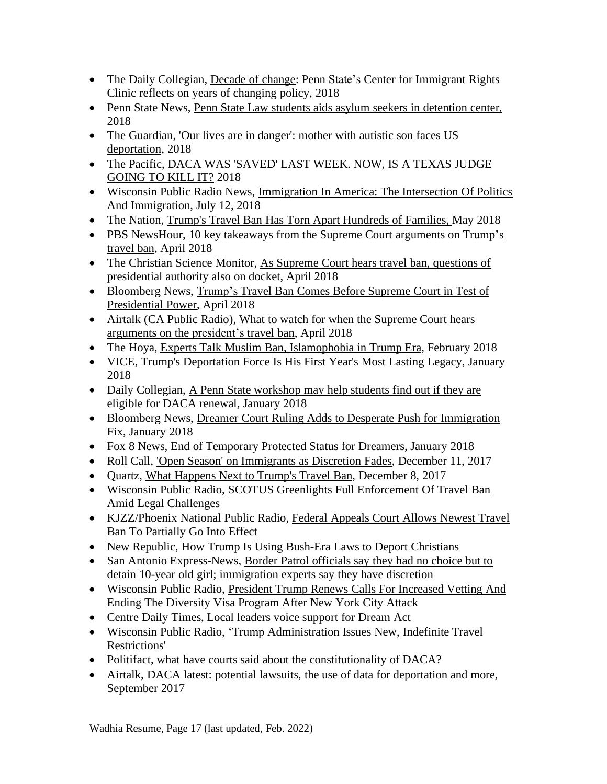- The Daily Collegian, [Decade](https://www.collegian.psu.edu/news/campus/article_83250384-d015-11e8-9e09-3fc2b5383b5d.html) of change: Penn State's Center for Immigrant Rights Clinic reflects on years of changing policy, 2018
- Penn State News, Penn State Law students aids asylum seekers in [detention](https://news.psu.edu/story/541440/2018/10/12/impact/penn-state-law-students-aid-asylum-seekers-detention-center) center, 2018
- The Guardian, 'Our lives are in [danger':](https://www.theguardian.com/us-news/2018/sep/21/mother-deportation-us-el-salvador-son-autism-trump-immigration) mother with autistic son faces US [deportation,](https://www.theguardian.com/us-news/2018/sep/21/mother-deportation-us-el-salvador-son-autism-trump-immigration) 2018
- The Pacific, DACA WAS ['SAVED'](https://psmag.com/social-justice/daca-was-saved-last-week-now-is-a-texas-judge-going-to-kill-it) LAST WEEK. NOW, IS A TEXAS JUDGE [GOING](https://psmag.com/social-justice/daca-was-saved-last-week-now-is-a-texas-judge-going-to-kill-it) TO KILL IT? 2018
- Wisconsin Public Radio News, [Immigration](https://www.wpr.org/immigration-america-intersection-politics-and-immigration) In America: The Intersection Of Politics And [Immigration,](https://www.wpr.org/immigration-america-intersection-politics-and-immigration) July 12, 2018
- The Nation, Trump's Travel Ban Has Torn Apart [Hundreds](https://www.thenation.com/article/trumps-travel-ban-torn-apart-hundreds-families/) of Families, May 2018
- PBS NewsHour, 10 key takeaways from the Supreme Court [arguments](https://www.pbs.org/newshour/politics/10-key-takeaways-from-the-supreme-court-arguments-on-trumps-travel-ban) on Trump's [travel](https://www.pbs.org/newshour/politics/10-key-takeaways-from-the-supreme-court-arguments-on-trumps-travel-ban) ban, April 2018
- The Christian Science Monitor, As Supreme Court hears travel ban, [questions](https://www.csmonitor.com/USA/Justice/2018/0425/As-Supreme-Court-hears-travel-ban-questions-of-presidential-authority-also-on-docket) of [presidential](https://www.csmonitor.com/USA/Justice/2018/0425/As-Supreme-Court-hears-travel-ban-questions-of-presidential-authority-also-on-docket) authority also on docket, April 2018
- Bloomberg News, Trump's Travel Ban Comes Before [Supreme](https://www.bloomberg.com/news/articles/2018-04-23/trump-travel-ban-fight-at-high-court-to-test-presidential-power) Court in Test of [Presidential](https://www.bloomberg.com/news/articles/2018-04-23/trump-travel-ban-fight-at-high-court-to-test-presidential-power) Power, April 2018
- Airtalk (CA Public Radio), What to watch for when the [Supreme](http://www.scpr.org/programs/airtalk/2018/04/24/62700/what-to-watch-for-when-the-supreme-court-hears-arg/) Court hears arguments on the [president's](http://www.scpr.org/programs/airtalk/2018/04/24/62700/what-to-watch-for-when-the-supreme-court-hears-arg/) travel ban, April 2018
- The Hoya, Experts Talk Muslim Ban, [Islamophobia](https://bridge.georgetown.edu/external_article/experts-talk-muslim-ban-islamophobia-in-trump-era/) in Trump Era, February 2018
- VICE, Trump's [Deportation](https://www.vice.com/en_us/article/59wepz/trumps-deportation-force-is-his-first-years-most-lasting-legacy-trumpweek) Force Is His First Year's Most Lasting Legacy, January 2018
- Daily Collegian, A Penn State [workshop](http://www.collegian.psu.edu/news/campus/article_8b1ea0b4-017a-11e8-9779-87321e607614.html) may help students find out if they are eligible for DACA [renewal,](http://www.collegian.psu.edu/news/campus/article_8b1ea0b4-017a-11e8-9779-87321e607614.html) January 2018
- Bloomberg News, Dreamer Court Ruling Adds to Desperate Push for [Immigration](https://www.bloomberg.com/news/articles/2018-01-10/dreamer-court-ruling-adds-to-desperate-push-for-immigration-fix) [Fix,](https://www.bloomberg.com/news/articles/2018-01-10/dreamer-court-ruling-adds-to-desperate-push-for-immigration-fix) January 2018
- Fox 8 News, End of [Temporary](http://www.fox8tv.com/News/NewsDetails.asp?NewsID=25118) Protected Status for Dreamers, January 2018
- Roll Call, 'Open Season' on [Immigrants](http://www.rollcall.com/news/politics/open-season-on-immigrants) as Discretion Fades, December 11, 2017
- Quartz, What [Happens](https://qz.com/1151587/trumps-travel-ban-appeal-what-happens-next/) Next to Trump's Travel Ban, December 8, 2017
- Wisconsin Public Radio, SCOTUS Greenlights Full [Enforcement](https://www.wpr.org/scotus-greenlights-full-enforcement-travel-ban-amid-legal-challenges) Of Travel Ban Amid Legal [Challenges](https://www.wpr.org/scotus-greenlights-full-enforcement-travel-ban-amid-legal-challenges)
- KJZZ/Phoenix National Public Radio, Federal [Appeals](http://theshow.kjzz.org/content/568153/federal-appeals-court-allows-newest-travel-ban-partially-go-effect) Court Allows Newest Travel Ban To [Partially](http://theshow.kjzz.org/content/568153/federal-appeals-court-allows-newest-travel-ban-partially-go-effect) Go Into Effect
- New Republic, How Trump Is Using Bush-Era Laws to Deport Christians
- San Antonio Express-News, Border Patrol [officials](https://www.google.com/url?sa=t&rct=j&q=&esrc=s&source=newssearch&cd=4&cad=rja&uact=8&ved=0ahUKEwiLkr_usqjXAhXF5CYKHSOzCToQqQIIMigAMAM&url=http%3A%2F%2Fwww.expressnews.com%2Fnews%2Flocal%2Farticle%2FBorder-Patrol-officials-say-they-had-no-choice-12330896.php&usg=AOvVaw2vXeWiUqQkVCMVaRsVpjDz) say they had no choice but to detain 10-year old girl; [immigration](https://www.google.com/url?sa=t&rct=j&q=&esrc=s&source=newssearch&cd=4&cad=rja&uact=8&ved=0ahUKEwiLkr_usqjXAhXF5CYKHSOzCToQqQIIMigAMAM&url=http%3A%2F%2Fwww.expressnews.com%2Fnews%2Flocal%2Farticle%2FBorder-Patrol-officials-say-they-had-no-choice-12330896.php&usg=AOvVaw2vXeWiUqQkVCMVaRsVpjDz) experts say they have discretion
- Wisconsin Public Radio, President Trump Renews Calls For [Increased](https://www.wpr.org/president-trump-renews-calls-increased-vetting-and-ending-diversity-visa-program-after-new-york-city) Vetting And Ending The [Diversity](https://www.wpr.org/president-trump-renews-calls-increased-vetting-and-ending-diversity-visa-program-after-new-york-city) Visa Program After New York City Attack
- Centre Daily Times, Local leaders voice support for Dream Act
- Wisconsin Public Radio, 'Trump Administration Issues New, Indefinite Travel Restrictions'
- Politifact, what have courts said about the constitutionality of DACA?
- Airtalk, DACA latest: potential lawsuits, the use of data for deportation and more, September 2017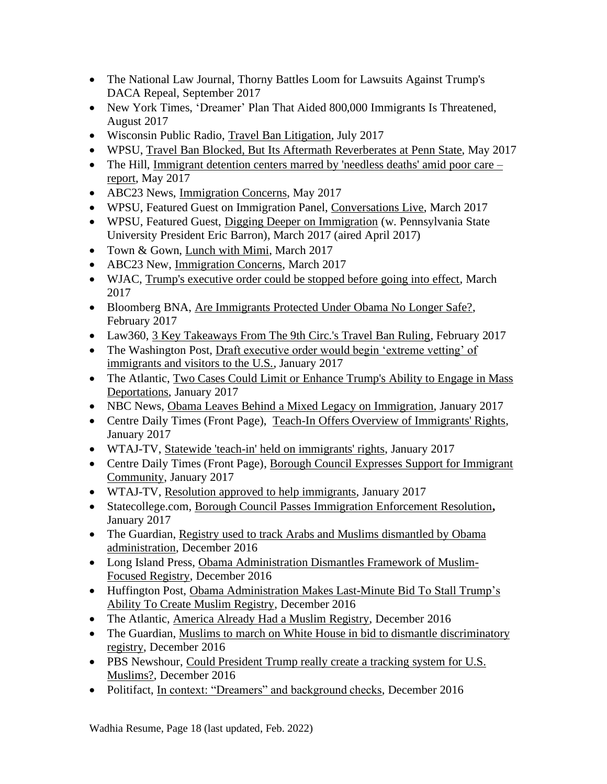- The National Law Journal, Thorny Battles Loom for Lawsuits Against Trump's DACA Repeal, September 2017
- New York Times, 'Dreamer' Plan That Aided 800,000 Immigrants Is Threatened, August 2017
- Wisconsin Public Radio, [Travel Ban Litigation,](https://www.wpr.org/supreme-court-exempts-grandparents-travel-ban-refugees-still-denied-access) July 2017
- WPSU, Travel Ban Blocked, But Its Aftermath Reverberates at Penn State, May 2017
- The Hill, [Immigrant detention centers marred by 'needless deaths' amid poor care –](http://thehill.com/blogs/pundits-blog/crime/334076-the-cruel-but-usual-conditions-inside-two-georgia-immigration) [report,](http://thehill.com/blogs/pundits-blog/crime/334076-the-cruel-but-usual-conditions-inside-two-georgia-immigration) May 2017
- ABC23 News, [Immigration Concerns,](http://www.abc23.com/News/NewsDetails.asp?NewsID=22772) May 2017
- WPSU, Featured Guest on Immigration Panel, [Conversations Live,](http://wpsu.psu.edu/tv/programs/conversationslive/immigration/) March 2017
- WPSU, Featured Guest, [Digging Deeper on Immigration](http://news.psu.edu/story/458025/2017/03/27/arts-and-entertainment/barron-welcome-immigration-law-expert-during-next) (w. Pennsylvania State) University President Eric Barron), March 2017 (aired April 2017)
- Town & Gown, [Lunch with Mimi,](http://www.statecollege.com/news/5-questions/lunch-with-mimi-shoba-sivaprasad-wadhia,1471331/) March 2017
- ABC23 New, [Immigration Concerns,](http://www.abc23.com/News/NewsDetails.asp?NewsID=22428) March 2017
- WJAC, [Trump's executive order could be stopped before going into effect,](http://wjactv.com/news/local/trumps-executive-order-could-be-stopped-before-going-into-effect) March 2017
- Bloomberg BNA, [Are Immigrants Protected Under Obama No Longer Safe?,](https://www.bna.com/immigrants-protected-obama-n57982083900/) February 2017
- Law360, [3 Key Takeaways From The 9th Circ.'s Travel Ban Ruling,](https://www.law360.com/articles/890848/3-key-takeaways-from-the-9th-circ-s-travel-ban-ruling) February 2017
- The Washington Post, Draft executive order would begin 'extreme vetting' of [immigrants and visitors to the U.S.,](https://www.washingtonpost.com/world/national-security/draft-executive-order-would-begin-extreme-vetting-of-immigrants-and-visitors-to-the-us/2017/01/25/17a27424-e328-11e6-a547-5fb9411d332c_story.html?utm_term=.6c2f67ead8ad) January 2017
- The Atlantic, Two Cases Could Limit or Enhance Trump's Ability to Engage in Mass [Deportations,](https://www.theatlantic.com/politics/archive/2017/01/two-cases-could-limit-or-enhance-trumps-ability-to-engage-in-mass-deportations/513407/) January 2017
- NBC News, [Obama Leaves Behind a Mixed Legacy on Immigration,](http://www.nbcnews.com/storyline/president-obama-the-legacy/obama-leaves-behind-mixed-legacy-immigration-n703656) January 2017
- Centre Daily Times (Front Page), [Teach-In Offers Overview of Immigrants' Rights,](http://www.centredaily.com/news/local/education/penn-state/article126289289.html) January 2017
- WTAJ-TV, [Statewide 'teach-in' held on immigrants' rights,](http://www.wearecentralpa.com/news/statewide-teach-in-held-on-immigrants-rights/640119338) January 2017
- Centre Daily Times (Front Page), Borough Council Expresses Support for Immigrant [Community,](http://www.centredaily.com/news/local/community/state-college/article125557729.html) January 2017
- WTAJ-TV, [Resolution approved to help immigrants,](http://www.wearecentralpa.com/news/resolution-approved-to-help-immigrants/637914525) January 2017
- Statecollege.com, [Borough Council Passes Immigration Enforcement Resolution](http://www.statecollege.com/news/local-news/borough-council-passes-immigration-enforcement-resolution,1470680/)**,** January 2017
- The Guardian, Registry used to track Arabs and Muslims dismantled by Obama administration, December 2016
- Long Island Press, [Obama Administration Dismantles Framework of Muslim-](https://www.longislandpress.com/2016/12/22/obama-administration-dismantles-framework-of-muslim-focused-registry/)[Focused Registry,](https://www.longislandpress.com/2016/12/22/obama-administration-dismantles-framework-of-muslim-focused-registry/) December 2016
- Huffington Post, [Obama Administration Makes Last-Minute Bid](http://www.huffingtonpost.com/entry/obama-rescinds-nseers-trump-registry_us_585bf2b7e4b0d9a594574d6b) To Stall Trump's [Ability To Create Muslim Registry,](http://www.huffingtonpost.com/entry/obama-rescinds-nseers-trump-registry_us_585bf2b7e4b0d9a594574d6b) December 2016
- The Atlantic, [America Already Had a Muslim Registry,](https://www.theatlantic.com/technology/archive/2016/12/america-already-had-a-muslim-registry/511214/) December 2016
- The Guardian, Muslims to march on White House in bid to dismantle discriminatory [registry,](https://www.theguardian.com/us-news/2016/dec/12/american-muslims-march-white-house-nseers) December 2016
- PBS Newshour, Could President Trump really create a tracking system for U.S. [Muslims?,](http://www.pbs.org/newshour/updates/president-trump-really-create-tracking-system-u-s-muslims/) December 2016
- Politifact, [In context: "Dreamers" and background checks,](http://www.politifact.com/truth-o-meter/article/2016/dec/12/context-dreamers-and-background-checks/) December 2016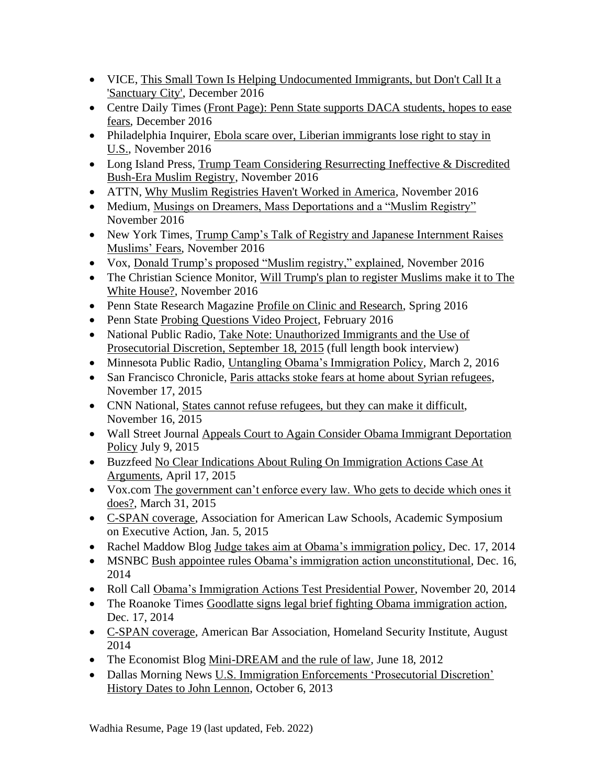- VICE, This Small Town Is Helping Undocumented Immigrants, but Don't Call It a ['Sanctuary City',](https://www.vice.com/en_us/article/sanctuary-cities-complicated-politics-small-towns) December 2016
- Centre Daily Times (Front Page)[:](http://www.centredaily.com/news/local/education/penn-state/article118616648.html) Penn State supports DACA students, hopes to ease [fears,](http://www.centredaily.com/news/local/education/penn-state/article118616648.html) December 2016
- Philadelphia Inquirer, Ebola scare over, Liberian immigrants lose right to stay in [U.S.,](http://www.philly.com/philly/news/20161128_Ebola_scare_over__Liberian_immigrants_lose_right_to_stay_in_U_S_.html) November 2016
- Long Island Press, Trump Team Considering Resurrecting Ineffective & Discredited [Bush-Era Muslim Registry, November 2016](https://www.longislandpress.com/2016/11/26/trump-team-considering-resurrecting-ineffective-discredited-bush-era-muslim-registry/)
- ATTN, [Why Muslim Registries Haven't Worked in America,](http://www.attn.com/stories/13052/why-muslim-registries-havent-worked-america) November 2016
- Medium, [Musings on Dreamers, Mass Deportations and a "Muslim Registry"](https://medium.com/@shobawadhia/musings-on-dreamers-mass-deportations-and-a-muslim-registry-78dc37e44527#.oo73vjr9h) November 2016
- New York Times, Trump Camp's Talk of Registry and Japanese Internment Raises [Muslims' Fears,](http://www.nytimes.com/2016/11/18/us/politics/japanese-internment-muslim-registry.html?_r=2) November 2016
- Vox, [Donald Trump's proposed "Muslim registry," explained,](http://www.vox.com/policy-and-politics/2016/11/16/13649764/trump-muslim-register-database) November 2016
- The Christian Science Monitor, Will Trump's plan to register Muslims make it to The [White House?,](http://www.csmonitor.com/USA/2016/1120/Will-Trump-s-plan-to-register-Muslims-make-it-to-The-White-House) November 2016
- Penn State Research Magazine [Profile on Clinic and Research,](https://issuu.com/exn119/docs/rps_spring2016?e=9518541/35492332) Spring 2016
- Penn State [Probing Questions Video Project,](http://news.psu.edu/video/391823/2016/02/10/research/probing-question-video-it-legal-or-practical-bar-immigrants-based) February 2016
- National Public Radio, [Take Note: Unauthorized Immigrants and the Use of](file:///C:/Users/Shoba%20Wadhia/AppData/Local/Microsoft/Windows/INetCache/Content.Outlook/IR1C2CIW/post)  [Prosecutorial Discretion, September 18,](file:///C:/Users/Shoba%20Wadhia/AppData/Local/Microsoft/Windows/INetCache/Content.Outlook/IR1C2CIW/post) 2015 (full length book interview)
- Minnesota Public Radio, [Untangling Obama's Immigration Policy,](http://www.mprnews.org/story/2016/03/02/deportation) March 2, 2016
- San Francisco Chronicle, [Paris attacks stoke fears at home about Syrian refugees,](http://www.sfgate.com/bayarea/article/Paris-attacks-stoke-fears-at-home-over-Syrian-6639487.php) November 17, 2015
- CNN National, [States cannot refuse refugees, but](http://www.cnn.com/2015/11/16/politics/refugee-states-governors-syria/index.html) they can make it difficult, November 16, 2015
- Wall Street Journal Appeals Court to Again Consider Obama Immigrant Deportation [Policy](http://www.wsj.com/articles/appeals-court-to-again-consider-obama-immigrant-deportation-policy-1436465238) July 9, 2015
- Buzzfeed [No Clear Indications About Ruling On Immigration Actions Case At](http://www.buzzfeed.com/johnstanton/no-clear-indications-about-ruling-on-immigration-actions-cas#.oml05YBGR)  [Arguments,](http://www.buzzfeed.com/johnstanton/no-clear-indications-about-ruling-on-immigration-actions-cas#.oml05YBGR) April 17, 2015
- Vox.com The government can't enforce every law. Who gets to decide which ones it [does?,](http://www.vox.com/2015/3/31/8306311/prosecutorial-discretion) March 31, 2015
- [C-SPAN coverage,](http://www.c-span.org/video/?323544-3/discussion-executive-action-immigration) Association for American Law Schools, Academic Symposium on Executive Action, Jan. 5, 2015
- Rachel Maddow Blog [Judge takes aim at Obama's immigration policy,](http://www.msnbc.com/rachel-maddow-show/judge-takes-aim-obamas-immigration-policy) Dec. 17, 2014
- MSNBC Bush appointee rules [Obama's immigration action unconstitutional,](http://www.msnbc.com/msnbc/bush-appointee-rules-obamas-immigration-action-unconstitutional) Dec. 16, 2014
- Roll Call [Obama's Immigration Actions Test Presidential Power,](http://www.rollcall.com/news/obamas_immigration_actions_test_presidential_power-238142-1.html) November 20, 2014
- The Roanoke Times [Goodlatte signs legal brief fighting Obama immigration action,](http://www.roanoke.com/news/virginia/goodlatte-signs-legal-brief-fighting-obama-immigration-action/article_6c633293-d286-5df7-bdf5-bf51d4a0749f.html) Dec. 17, 2014
- [C-SPAN coverage,](file://///dsl.edu/facultysec/Facultysec-up/Lombardo/Clinic%20Professors/Wadhia/CV/•%09http:/www.c-span.org/video/%3f321116-6/discussion-immigration-law-executive-power) American Bar Association, Homeland Security Institute, August 2014
- The Economist Blog [Mini-DREAM and the rule of law,](http://www.economist.com/blogs/democracyinamerica/2012/06/executive-discretion) June 18, 2012
- Dallas Morning News [U.S. Immigration Enforcements 'Prosecutorial Discretion'](http://www.dallasnews.com/news/metro/20131006-u.s.-immigration-enforcements-prosecutorial-discretion-history-dates-back-to-john-lennon.ece)  [History Dates to John Lennon,](http://www.dallasnews.com/news/metro/20131006-u.s.-immigration-enforcements-prosecutorial-discretion-history-dates-back-to-john-lennon.ece) October 6, 2013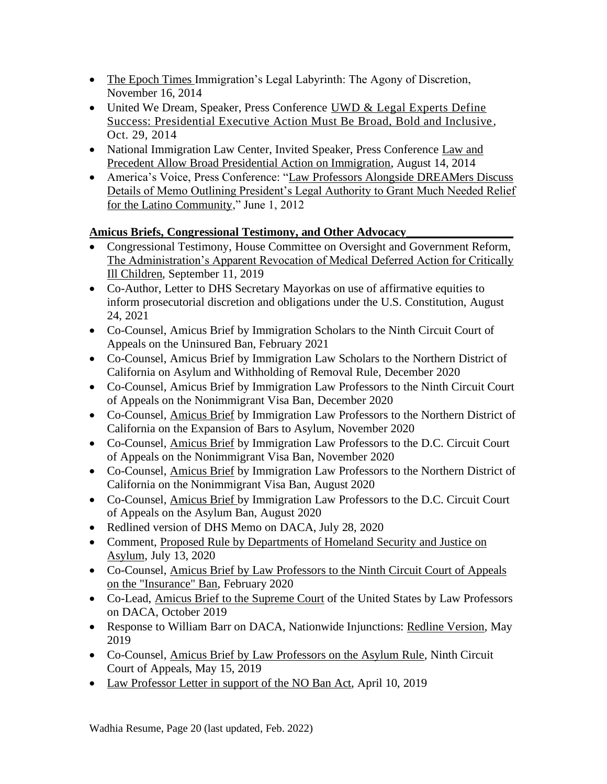- [The Epoch Times I](http://www.theepochtimes.com/n3/1084752-immigrations-legal-labyrinthe-the-agony-of-discretion/)mmigration's Legal Labyrinth: The Agony of Discretion, November 16, 2014
- United We Dream, Speaker, Press Conference UWD & Legal Experts Define [Success: Presidential Executive Action Must Be Broad, Bold and Inclusive](http://unitedwedream.org/press-releases/uwd-legal-experts-define-success-presidential-executive-action-must-broad-bold-inclusive/) , Oct. 29, 2014
- National Immigration Law Center, Invited Speaker, Press Conference Law and [Precedent Allow Broad Presidential Action on Immigration,](http://www.nilc.org/nr081314.html) August 14, 2014
- America's Voice, Press Conference: "Law Professors Alongside DREAMers Discuss [Details of Memo Outlining President's Legal Authority to Grant Much Needed Relief](http://act.americasvoiceonline.org/page/-/americasvoice/audio/DREAM%20060112.mp3)  [for the Latino Community,](http://act.americasvoiceonline.org/page/-/americasvoice/audio/DREAM%20060112.mp3)" June 1, 2012

## **Amicus Briefs, Congressional Testimony, and Other Advocacy\_\_\_\_\_\_\_\_\_\_\_\_\_\_\_\_\_\_**

- Congressional Testimony, House Committee on Oversight and Government Reform, [The Administration's Apparent Revocation of Medical Deferred Action for Critically](https://oversight.house.gov/legislation/hearings/the-administration-s-apparent-revocation-of-medical-deferred-action-for)  [Ill Children,](https://oversight.house.gov/legislation/hearings/the-administration-s-apparent-revocation-of-medical-deferred-action-for) September 11, 2019
- Co-Author, Letter to DHS Secretary Mayorkas on use of affirmative equities to inform prosecutorial discretion and obligations under the U.S. Constitution, August 24, 2021
- Co-Counsel, Amicus Brief by [Immigration](https://53dfb3eb-5e7d-464c-87ed-33d8164eb4b0.filesusr.com/ugd/6e1c09_844d987dc1a54c629f86beefecc181ae.pdf) Scholars to the Ninth Circuit Court of Appeals on the Uninsured Ban, February 2021
- Co-Counsel, Amicus Brief by Immigration Law Scholars to the Northern District of California on Asylum and Withholding of Removal Rule, December 2020
- Co-Counsel, Amicus Brief by Immigration Law Professors to the Ninth Circuit Court of Appeals on the Nonimmigrant Visa Ban, December 2020
- Co-Counsel, [Amicus](https://53dfb3eb-5e7d-464c-87ed-33d8164eb4b0.filesusr.com/ugd/6e1c09_950945413f2c44409210e48a5314d574.pdf) Brief by Immigration Law Professors to the Northern District of California on the Expansion of Bars to Asylum, November 2020
- Co-Counsel, [Amicus](https://53dfb3eb-5e7d-464c-87ed-33d8164eb4b0.filesusr.com/ugd/6e1c09_c05c492de2f24ca8b86ee0093a999eb1.pdf) Brief by Immigration Law Professors to the D.C. Circuit Court of Appeals on the Nonimmigrant Visa Ban, November 2020
- Co-Counsel, [Amicus](https://53dfb3eb-5e7d-464c-87ed-33d8164eb4b0.filesusr.com/ugd/6e1c09_d0acf4c04fdd4f97a4fe9fb3b4ba0499.pdf) Brief by Immigration Law Professors to the Northern District of California on the Nonimmigrant Visa Ban, August 2020
- Co-Counsel, [Amicus](https://53dfb3eb-5e7d-464c-87ed-33d8164eb4b0.filesusr.com/ugd/6e1c09_86f159e9f649400999db1b8393964fe8.pdf) Brief by Immigration Law Professors to the D.C. Circuit Court of Appeals on the Asylum Ban, August 2020
- [Redlined](https://53dfb3eb-5e7d-464c-87ed-33d8164eb4b0.filesusr.com/ugd/6e1c09_c2620d8050404dbca9d2c7a4cddf83ef.pdf) version of DHS Memo on DACA, July 28, 2020
- Comment, Proposed Rule by [Departments](https://53dfb3eb-5e7d-464c-87ed-33d8164eb4b0.filesusr.com/ugd/6e1c09_1ad7adda9b4c4183a91d3378448fac81.docx?dn=AsylumRuleComments.docx) of Homeland Security and Justice on [Asylum,](https://53dfb3eb-5e7d-464c-87ed-33d8164eb4b0.filesusr.com/ugd/6e1c09_1ad7adda9b4c4183a91d3378448fac81.docx?dn=AsylumRuleComments.docx) July 13, 2020
- Co-Counsel, Amicus Brief by Law [Professors](https://53dfb3eb-5e7d-464c-87ed-33d8164eb4b0.filesusr.com/ugd/6e1c09_b84c7e78406b4966aef54c67e5d9638d.pdf) to the Ninth Circuit Court of Appeals on the ["Insurance"](https://53dfb3eb-5e7d-464c-87ed-33d8164eb4b0.filesusr.com/ugd/6e1c09_b84c7e78406b4966aef54c67e5d9638d.pdf) Ban, February 2020
- Co-Lead, Amicus Brief to the [Supreme](https://medium.com/@shobaswadhia/daca-at-the-supreme-court-immigration-law-scholars-brief-a0eee21c7924) Court of the United States by Law Professors on DACA, October 2019
- Response to William Barr on DACA, Nationwide Injunctions: Redline [Version,](https://docs.wixstatic.com/ugd/6e1c09_fdca0482f96d4823950cdbd2161efc0e.pdf) May 2019
- Co-Counsel, Amicus Brief by Law [Professors](https://docs.wixstatic.com/ugd/6e1c09_b587927faaf14ce3892e57e6e06d0ac6.pdf) on the Asylum Rule, Ninth Circuit Court of Appeals, May 15, 2019
- Law [Professor](https://pennstatelaw.psu.edu/sites/default/files/LawProfessorLetterNOBANActFinal.pdf) Letter in support of the NO Ban Act, April 10, 2019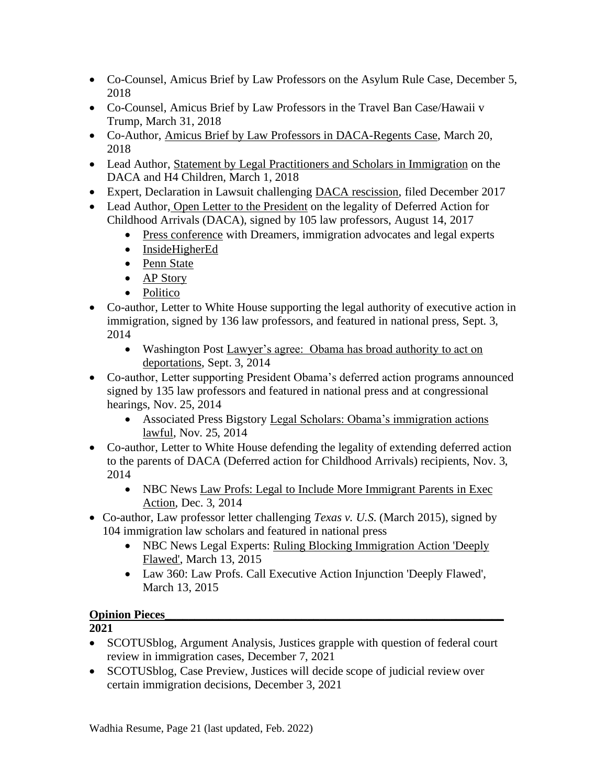- Co-Counsel, Amicus Brief by Law Professors on the Asylum Rule Case, December 5, 2018
- Co-Counsel, Amicus Brief by Law Professors in the Travel Ban Case/Hawaii v Trump, March 31, 2018
- Co-Author, Amicus Brief by Law Professors in [DACA-Regents](https://docs.wixstatic.com/ugd/6e1c09_b606dbd69cda4b249483c682f300ccef.pdf) Case, March 20, 2018
- Lead Author, [St](https://docs.wixstatic.com/ugd/6e1c09_3ce1a236b4f742dd88ab115ec2a44043.pdf)atement by Legal [Practitioners](https://docs.wixstatic.com/ugd/6e1c09_3ce1a236b4f742dd88ab115ec2a44043.pdf) and Scholars in Immigration on the DACA and H4 Children, March 1, 2018
- Expert, Declaration in Lawsuit challenging DACA [rescission,](https://docs.wixstatic.com/ugd/6e1c09_619f37308a3a4263bd5a22a8e00f2bbe.pdf) filed December 2017
- Lead Author, Open Letter to the President on the legality of Deferred Action for Childhood Arrivals (DACA), signed by 105 law professors, August 14, 2017
	- Press [conference](http://americasvoice.org/press_releases/dreamers-immigration-advocates-legal-experts-celebrate-fifth-anniversary-daca-outline-next-steps-fight/) with Dreamers, immigration advocates and legal experts
	- [InsideHigherEd](https://www.insidehighered.com/quicktakes/2017/08/14/law-professors-%E2%80%98no-question%E2%80%99-daca-legal#.WZGDsq3LoSo.mailto)
	- Penn [State](http://news.psu.edu/story/477497/2017/08/14/academics/professor-wadhia-co-authors-letter-trump-legality-daca)
	- AP [Story](https://www.apnews.com/d735ce0ca2e648659fc50a6193ed7cbd/Law-scholars-urge-Trump-to-keep-program-for-young-immigrants)
	- [Politico](http://www.politico.com/tipsheets/morning-education/2017/08/14/va-warned-arizona-state-regulators-over-for-profit-college-approval-221857)
- Co-author, Letter to White House supporting the legal authority of executive action in immigration, signed by 136 law professors, and featured in national press, Sept. 3, 2014
	- Washington Post Lawyer's agree: Obama has broad authority to act on [deportations,](http://www.washingtonpost.com/blogs/plum-line/wp/2014/09/03/lawyers-agree-obama-has-broad-authority-to-act-on-deportations/) Sept. 3, 2014
- Co-author, Letter supporting President Obama's deferred action programs announced signed by 135 law professors and featured in national press and at congressional hearings, Nov. 25, 2014
	- Associated Press Bigstory [Legal Scholars: Obama's immigration actions](http://bigstory.ap.org/article/c957a284aaa748dfba47ece9ce2712c1/legal-scholars-obamas-immigration-actions-lawful)  [lawful,](http://bigstory.ap.org/article/c957a284aaa748dfba47ece9ce2712c1/legal-scholars-obamas-immigration-actions-lawful) Nov. 25, 2014
- Co-author, Letter to White House defending the legality of extending deferred action to the parents of DACA (Deferred action for Childhood Arrivals) recipients, Nov. 3, 2014
	- NBC News Law Profs: Legal to [Include More Immigrant Parents in](http://www.nbcnews.com/storyline/immigration-reform/law-profs-legal-include-more-immigrant-parents-exec-action-n260551) Exec [Action,](http://www.nbcnews.com/storyline/immigration-reform/law-profs-legal-include-more-immigrant-parents-exec-action-n260551) Dec. 3, 2014
- Co-author, Law professor letter challenging *Texas v. U.S*. (March 2015), signed by 104 immigration law scholars and featured in national press
	- NBC News Legal Experts: Ruling Blocking Immigration Action 'Deeply [Flawed',](http://www.nbcnews.com/news/latino/experts-texas-judges-immigration-action-ruling-deeply-flawed-n322751) March 13, 2015
	- Law 360: Law Profs. Call Executive Action Injunction 'Deeply Flawed', March 13, 2015

## **Opinion Pieces**

- SCOTUSblog, Argument Analysis, Justices grapple with question of federal court review in immigration cases, December 7, 2021
- SCOTUS blog, Case Preview, Justices will decide scope of judicial review over certain immigration decisions, December 3, 2021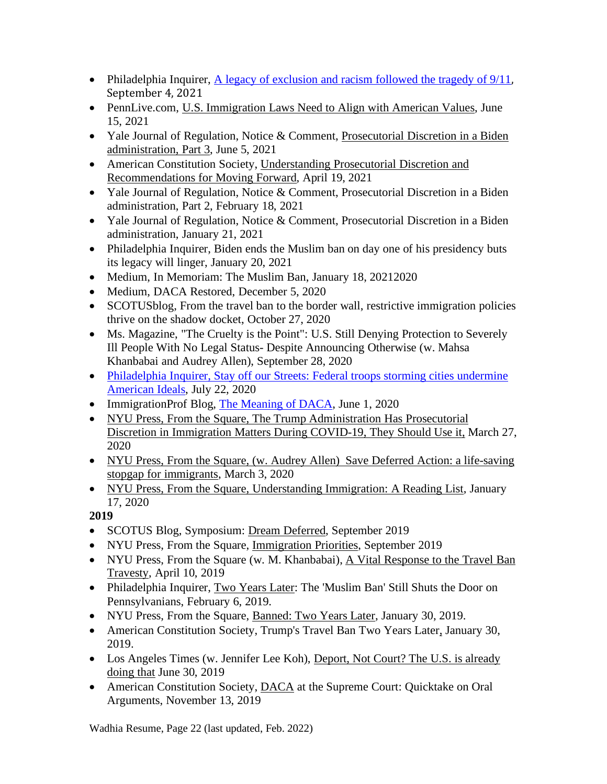- Philadelphia Inquirer, [A legacy of exclusion and racism followed the tragedy of 9/11](https://www.inquirer.com/opinion/commentary/911-immigration-law-changes-policy-20210904.html), September 4, 2021
- PennLive.com, U.S. [Immigration](https://www.pennlive.com/opinion/2021/06/us-immigration-laws-need-to-align-with-american-values-opinion.html) Laws Need to Align with American Values, June 15, 2021
- Yale Journal of Regulation, Notice & Comment, [Prosecutorial](https://www.yalejreg.com/nc/prosecutorial-discretion-in-the-biden-administration-part-3-by-shoba-sivaprasad-wadhia/) Discretion in a Biden [administration,](https://www.yalejreg.com/nc/prosecutorial-discretion-in-the-biden-administration-part-3-by-shoba-sivaprasad-wadhia/) Part 3, June 5, 2021
- American Constitution Society, [Understanding](https://www.acslaw.org/expertforum/understanding-prosecutorial-discretion-in-immigration-policy-and-recommendations-for-moving-forward/) Prosecutorial Discretion and [Recommendations](https://www.acslaw.org/expertforum/understanding-prosecutorial-discretion-in-immigration-policy-and-recommendations-for-moving-forward/) for Moving Forward, April 19, 2021
- Yale Journal of Regulation, Notice & Comment, Prosecutorial Discretion in a Biden administration, Part 2, February 18, 2021
- Yale Journal of Regulation, Notice & Comment, Prosecutorial Discretion in a Biden administration, January 21, 2021
- Philadelphia Inquirer, Biden ends the Muslim ban on day one of his presidency buts its legacy will linger, January 20, 2021
- Medium, In Memoriam: The Muslim Ban, January 18, 20212020
- Medium, DACA Restored, December 5, 2020
- SCOTUS blog, From the travel ban to the border wall, restrictive immigration policies thrive on the shadow docket, October 27, 2020
- Ms. Magazine, "The Cruelty is the Point": U.S. Still Denying Protection to Severely Ill People With No Legal Status- Despite Announcing Otherwise (w. Mahsa Khanbabai and Audrey Allen), September 28, 2020
- [Philadelphia](https://www.inquirer.com/opinion/commentary/trump-federal-agents-philadelphia-homeland-security-immigration-customs-enforcement-20200722.html) Inquirer, Stay off our Streets: Federal troops storming cities undermine [American](https://www.inquirer.com/opinion/commentary/trump-federal-agents-philadelphia-homeland-security-immigration-customs-enforcement-20200722.html) Ideals, July 22, 2020
- ImmigrationProf Blog, The [Meaning](https://lawprofessors.typepad.com/immigration/2020/06/the-meaning-of-daca-by-kevin-r-johnson-michael-a-olivas-and-shoba-sivaprasad-wadhia-.html) of DACA, June 1, 2020
- NYU Press, From the [Square,](https://www.fromthesquare.org/prosecutorial-discretion-during-covid-19/) The Trump [Administration](https://www.fromthesquare.org/prosecutorial-discretion-during-covid-19/) Has Prosecutorial Discretion in [Immigration](https://www.fromthesquare.org/prosecutorial-discretion-during-covid-19/) Matters During COVID-19, They Should Use it[,](https://www.fromthesquare.org/prosecutorial-discretion-during-covid-19/) March 27, 2020
- NYU Press, From the [Square,](https://www.fromthesquare.org/save-deferred-action-a-life-saving-stopgap-for-immigrants/) (w. [Audrey](https://www.fromthesquare.org/save-deferred-action-a-life-saving-stopgap-for-immigrants/) Allen[\)](https://www.fromthesquare.org/save-deferred-action-a-life-saving-stopgap-for-immigrants/) Save Deferred Action: a [life-saving](https://www.fromthesquare.org/save-deferred-action-a-life-saving-stopgap-for-immigrants/) stopgap for [immigrants,](https://www.fromthesquare.org/save-deferred-action-a-life-saving-stopgap-for-immigrants/) March 3, 2020
- NYU Press, From the [Square,](https://www.fromthesquare.org/understanding-immigration-a-reading-list/) [Understanding](https://www.fromthesquare.org/understanding-immigration-a-reading-list/) Immigration: A Reading List, January 17, 2020

- SCOTUS Blog, Symposium: Dream [Deferred,](https://www.fromthesquare.org/immigration-priorities/#.XY6JpkZKg2w) September 2019
- NYU Press, From the Square, [Immigration](https://www.fromthesquare.org/immigration-priorities/#.XY6JpkZKg2w) Priorities, September 2019
- NYU Press, From the Square (w. M. Khanbabai), A Vital [Response](https://www.fromthesquare.org/a-vital-response-to-the-travel-ban-travesty/#.XMDLSOhKg2w) to the Travel Ban [Travesty,](https://www.fromthesquare.org/a-vital-response-to-the-travel-ban-travesty/#.XMDLSOhKg2w) April 10, 2019
- Philadelphia Inquirer, Two [Years](https://www.philly.com/opinion/commentary/travel-ban-pennsylvania-supreme-court-20190206.html) Later: The 'Muslim Ban' Still Shuts the Door on Pennsylvanians, February 6, 2019.
- NYU Press, From the Square, [Banned:](https://www.fromthesquare.org/banned-two-years-later/#.XFHbe1xKg2w) Two Years Later, January 30, 2019.
- American Constitution Society, [Trump's](https://www.acslaw.org/acsblog/trumps-travel-ban-two-years-later/) Travel Ban Two Years Later, January 30, 2019.
- Los Angeles Times (w. Jennifer Lee Koh), [Deport,](http://www.latimes.com/opinion/op-ed/la-oe-koh-wadhia-deportations-20180630-story.html) Not Court? The U.S. is already [doing](http://www.latimes.com/opinion/op-ed/la-oe-koh-wadhia-deportations-20180630-story.html) that June 30, 2019
- American Constitution Society, [DACA](https://www.acslaw.org/expertforum/daca-at-the-supreme-court-quicktake-on-oral-arguments/) at the Supreme Court: Quicktake on Oral Arguments, November 13, 2019

Wadhia Resume, Page 22 (last updated, Feb. 2022)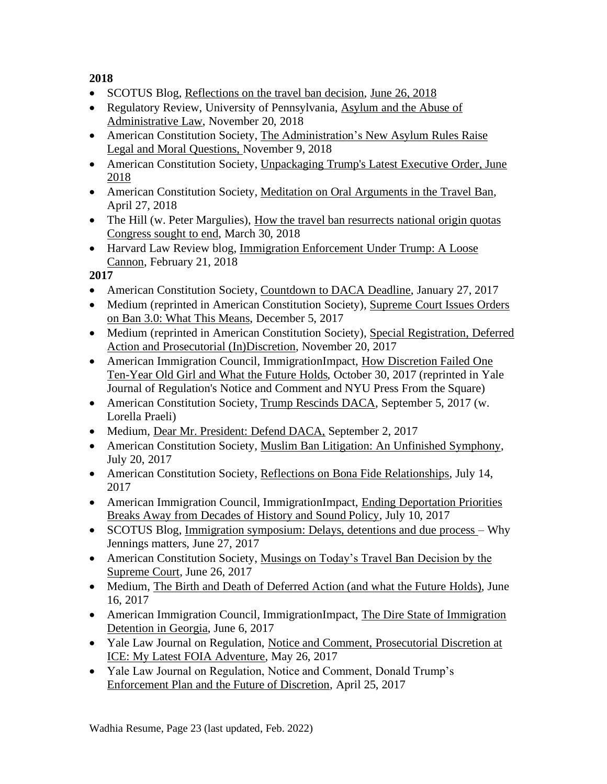- SCOTUS Blog, [Reflections](http://www.scotusblog.com/2018/06/symposium-reflections-on-the-travel-ban-decision/) on the travel ban decision, June 26, [2018](http://www.scotusblog.com/2018/06/symposium-reflections-on-the-travel-ban-decision/)
- Regulatory Review, University of Pennsylvania, [Asylum](https://www.theregreview.org/2018/11/20/wadhia-asylum-abuse-administrative-law/) and the Abuse of [Administrative](https://www.theregreview.org/2018/11/20/wadhia-asylum-abuse-administrative-law/) Law, November 20, 2018
- American Constitution Society, The [Administration's](https://www.acslaw.org/acsblog/the-administrations-new-asylum-rules-raise-legal-and-moral-questions/) New Asylum Rules Raise Legal and Moral [Questions,](https://www.acslaw.org/acsblog/the-administrations-new-asylum-rules-raise-legal-and-moral-questions/) [November](https://www.acslaw.org/acsblog/the-administrations-new-asylum-rules-raise-legal-and-moral-questions/) 9, 2018
- American Constitution Society, [Unpackaging](https://www.acslaw.org/acsblog/unpacking-president-trump%E2%80%99s-latest-executive-order) Trump's Latest Executive Orde[r,](https://www.acslaw.org/acsblog/unpacking-president-trump%E2%80%99s-latest-executive-order) [June](https://www.acslaw.org/acsblog/unpacking-president-trump%E2%80%99s-latest-executive-order) [2018](https://www.acslaw.org/acsblog/unpacking-president-trump%E2%80%99s-latest-executive-order)
- American Constitution Society, Meditation on Oral [Arguments](https://www.acslaw.org/acsblog/meditation-on-oral-arguments-in-the-travel-ban-case) in the Travel Ban, April 27, 2018
- The Hill (w. Peter Margulies), How the travel ban [resurrects](http://thehill.com/blogs/congress-blog/homeland-security/381002-how-the-travel-ban-resurrects-national-origin-quotas) national origin quotas [Congress](http://thehill.com/blogs/congress-blog/homeland-security/381002-how-the-travel-ban-resurrects-national-origin-quotas) sought to end, March 30, 2018
- Harvard Law Review blog, Immigration [Enforcement](https://blog.harvardlawreview.org/immigration-enforcement-under-trump-a-loose-cannon/) Under Trump: A Loose [Cannon,](https://blog.harvardlawreview.org/immigration-enforcement-under-trump-a-loose-cannon/) February 21, 2018

- American Constitution Society, [Countdown](https://www.acslaw.org/acsblog/countdown-to-daca-deadline) to DACA Deadline, January 27, 2017
- Medium (reprinted in American Constitution Society), [Supreme](https://medium.com/@shobawadhia/supreme-court-issues-orders-on-ban-3-0-what-this-means-db7c8e83c04c) Court Issues Orders on Ban 3.0: What This [Means,](https://medium.com/@shobawadhia/supreme-court-issues-orders-on-ban-3-0-what-this-means-db7c8e83c04c) December 5, 2017
- Medium (reprinted in American Constitution Society), Special [Registration,](https://www.acslaw.org/acsblog/special-registration-deferred-action-and-prosecutorial-indiscretion) Deferred Action and Prosecutorial [\(In\)Discretion,](https://www.acslaw.org/acsblog/special-registration-deferred-action-and-prosecutorial-indiscretion) November 20, 2017
- American Immigration Council, ImmigrationImpact, How [Discretion](http://immigrationimpact.com/2017/10/30/rosa-maria-hernandez-immigration-enforcement/) Failed One [Ten-Year](http://immigrationimpact.com/2017/10/30/rosa-maria-hernandez-immigration-enforcement/) Old Girl and What the Future Holds, October 30, 2017 (reprinted in Yale Journal of Regulation's Notice and Comment and NYU Press From the Square)
- American Constitution Society, Trump [Rescinds](https://www.acslaw.org/acsblog/trump-rescinds-daca?utm_content=bufferec00a&utm_medium=social&utm_source=twitter.com&utm_campaign=buffer) DACA, September 5, 2017 (w. Lorella Praeli)
- Medium, Dear Mr. [President:](https://medium.com/@shobawadhia/dear-mr-president-defend-daca-1f73ceed6717) Defend DACA, September 2, 2017
- American Constitution Society, [Muslim Ban Litigation: An Unfinished Symphony,](https://www.acslaw.org/acsblog/muslim-ban-litigation-an-unfinished-symphony) July 20, 2017
- American Constitution Society, [Reflections on Bona Fide Relationships,](https://www.acslaw.org/acsblog/reflections-on-bona-fide-relationships) July 14, 2017
- American Immigration Council, ImmigrationImpact, Ending Deportation Priorities [Breaks Away from Decades of History and Sound Policy,](http://immigrationimpact.com/2017/07/10/ending-deportation-priorities-history-policy/?utm_content=bufferd09d9&utm_medium=social&utm_source=twitter.com&utm_campaign=buffer) July 10, 2017
- SCOTUS Blog, [Immigration symposium: Delays, detentions and due process –](http://www.scotusblog.com/2017/06/immigration-symposium-delays-detentions-due-process-jennings-matters/) Why Jennings matters, June 27, 2017
- American Constitution Society, Musings on Today's Travel Ban Decision by the [Supreme Court,](https://www.acslaw.org/acsblog/musings-on-today%E2%80%99s-travel-ban-decision-by-the-supreme-court) June 26, 2017
- Medium, The Birth and Death of Deferred Action (and what the Future Holds), June 16, 2017
- American Immigration Council, ImmigrationImpact, The Dire State of Immigration [Detention in Georgia,](http://immigrationimpact.com/2017/06/06/immigration-detention-in-georgia/) June 6, 2017
- Yale Law Journal on Regulation, Notice and Comment, Prosecutorial Discretion at [ICE: My Latest FOIA Adventure,](http://yalejreg.com/nc/prosecutorial-discretion-at-ice-my-latest-foia-adventure-by-shoba-sivaprasad-wadhia/) May 26, 2017
- Yale Law Journal on Regulation, Notice and Comment, Donald Trump's [Enforcement Plan and the Future of Discretion,](http://yalejreg.com/nc/donald-trumps-enforcement-plan-and-the-future-of-discretion-by-shoba-sivaprasad-wadhia/) April 25, 2017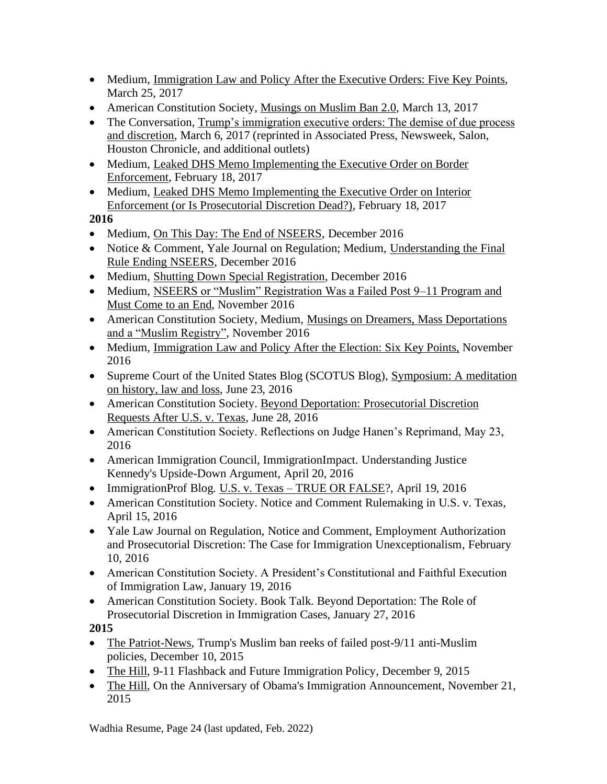- Medium, [Immigration Law and Policy After the Executive Orders: Five Key](https://medium.com/@shobawadhia/immigration-law-and-policy-after-the-executive-orders-five-key-points-7ac6b5422b9b#.vatdkhwv6) Points, March 25, 2017
- American Constitution Society, [Musings on Muslim Ban 2.0,](https://www.acslaw.org/acsblog/musings-on-muslim-ban-20) March 13, 2017
- The Conversation, Trump's immigration executive orders: The demise of due process and [discretion,](https://theconversation.com/trumps-immigration-executive-orders-the-demise-of-due-process-and-discretion-73948) March 6, 2017 (reprinted in Associated Press, Newsweek, Salon, Houston Chronicle, and additional outlets)
- Medium, Leaked DHS Memo Implementing the Executive Order on Border [Enforcement,](https://medium.com/@shobawadhia/summary-of-dhs-memo-implementing-the-executive-order-on-border-enforcement-460c32cd6af#.sskqw3qvc) February 18, 2017
- Medium, [Leaked DHS Memo Implementing the Executive Order on Interior](https://medium.com/@shobawadhia/dhs-memo-implementing-the-executive-order-on-interior-enforcement-or-is-prosecutorial-discretion-ec26cbf3c6f1#.tpekth9ob)  [Enforcement \(or Is Prosecutorial Discretion Dead?\),](https://medium.com/@shobawadhia/dhs-memo-implementing-the-executive-order-on-interior-enforcement-or-is-prosecutorial-discretion-ec26cbf3c6f1#.tpekth9ob) February 18, 2017

- Medium, [On This Day: The End of NSEERS, December 2016](https://medium.com/@shobawadhia/on-this-day-the-end-of-nseers-2959935eec66#.tx6hdao3o)
- Notice & Comment, Yale Journal on Regulation; Medium, Understanding the Final [Rule Ending NSEERS,](http://yalejreg.com/nc/understanding-the-final-rule-ending-nseers-by-shoba-sivaprasad-wadhia/) December 2016
- Medium, [Shutting Down Special Registration,](https://medium.com/@shobawadhia/shutting-down-special-registration-e40d25e9177b#.e15cxdi5g) December 2016
- Medium, NSEERS or "Muslim" Registration Was a Failed Post 9–11 Program and [Must Come to an](https://medium.com/@shobawadhia/nseers-or-muslim-registration-was-a-failed-post-9-11-program-and-must-come-to-an-end-1200469bf64b#.dpi1v6o1n) End, November 2016
- American Constitution Society, Medium, Musings on Dreamers, Mass Deportations [and a "Muslim Registry",](https://medium.com/@shobawadhia/musings-on-dreamers-mass-deportations-and-a-muslim-registry-78dc37e44527#.oo73vjr9h) November 2016
- Medium, [Immigration](https://pennstatelaw.psu.edu/sites/default/files/documents/pdfs/Immigrants/2PagerCentralPAFinal.pdf) Law and Policy After the Election: Six Key Points, November 2016
- Supreme Court of the United States Blog (SCOTUS Blog), Symposium: A meditation [on history, law and loss,](http://www.scotusblog.com/2016/06/symposium-a-meditation-on-history-law-and-loss/) June 23, 2016
- American Constitution Society. [Beyond Deportation: Prosecutorial Discretion](http://www.acslaw.org/acsblog/beyond-deportation-prosecutorial-discretion-requests-after-us-v-texas)  [Requests After U.S. v. Texas,](http://www.acslaw.org/acsblog/beyond-deportation-prosecutorial-discretion-requests-after-us-v-texas) June 28, 2016
- American Constitution Society. Reflections on Judge Hanen's Reprimand, May 23, 2016
- American Immigration Council, ImmigrationImpact. Understanding Justice [Kennedy's Upside-Down Argument,](http://immigrationimpact.com/2016/04/20/justice-kennedy-united-states-v-texas/) April 20, 2016
- ImmigrationProf Blog. U.S. v. Texas [TRUE OR FALSE?](http://lawprofessors.typepad.com/immigration/2016/04/us-v-texas-true-or-false-by-shoba-sivaprasad-wadhia.html), April 19, 2016
- American Constitution Society. [Notice and Comment Rulemaking in U.S. v. Texas,](https://www.acslaw.org/acsblog/notice-and-comment-rulemaking-in-united-states-v-texas) April 15, 2016
- Yale Law Journal on Regulation, Notice and Comment, [Employment Authorization](http://www.yalejreg.com/blog/employment-authorization-and-prosecutorial-discretion-the-case-for-immigration-unexceptionalism-by-s)  [and Prosecutorial Discretion: The Case for Immigration Unexceptionalism,](http://www.yalejreg.com/blog/employment-authorization-and-prosecutorial-discretion-the-case-for-immigration-unexceptionalism-by-s) February 10, 2016
- American Constitution Society. A President's Constitutional and Faithful Execution of Immigration Law, January 19, 2016
- American Constitution Society. Book Talk. Beyond Deportation: The Role of Prosecutorial Discretion in Immigration Cases, January 27, 2016

**2015**

- The Patriot-News, Trump's Muslim ban reeks of failed post-9/11 anti-Muslim [policies, December 10, 2015](http://www.pennlive.com/opinion/2015/12/trumps_muslim_ban_reeks_of_fai.html)
- The Hill, [9-11 Flashback and Future Immigration Policy,](http://thehill.com/blogs/congress-blog/homeland-security/262478-9-11-flashback-and-future-immigration-policy) December 9, 2015
- The Hill, [On the Anniversary of Obama's Immigration Announcement,](http://thehill.com/blogs/congress-blog/civil-rights/260937-on-the-anniversary-of-obamas-immigration-announcement) November 21, 2015

Wadhia Resume, Page 24 (last updated, Feb. 2022)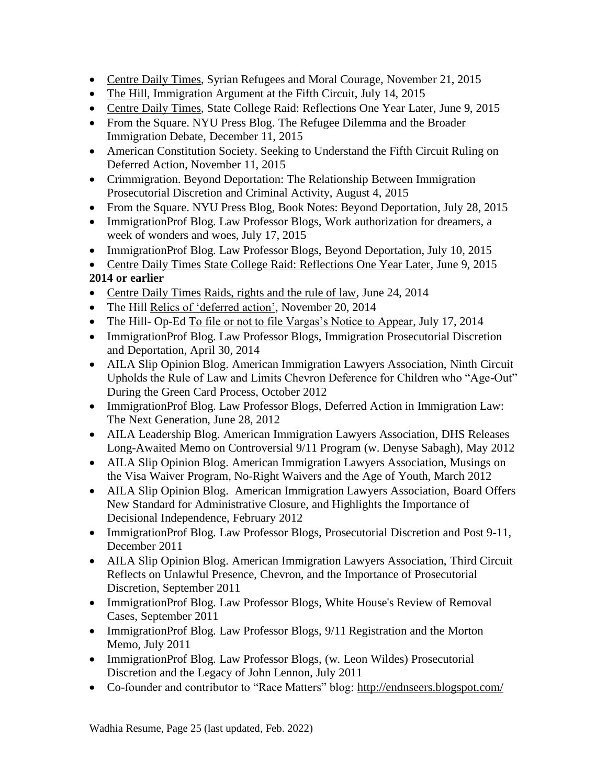- Centre Daily Times, [Syrian Refugees and Moral Courage,](http://www.centredaily.com/opinion/article45858775.html) November 21, 2015
- The Hill, Immigration Argument at the Fifth Circuit, July 14, 2015
- Centre Daily Times, State College Raid: Reflections One Year Later, June 9, 2015
- From the Square. NYU Press Blog. [The Refugee Dilemma and the Broader](http://www.fromthesquare.org/?p=7884#.VmsXPG4erfc)  [Immigration Debate,](http://www.fromthesquare.org/?p=7884#.VmsXPG4erfc) December 11, 2015
- American Constitution Society. [Seeking to Understand the Fifth Circuit Ruling on](https://www.acslaw.org/acsblog/seeking-to-understand-the-fifth-circuit-ruling-on-deferred-action)  [Deferred Action,](https://www.acslaw.org/acsblog/seeking-to-understand-the-fifth-circuit-ruling-on-deferred-action) November 11, 2015
- Crimmigration. Beyond Deportation: The Relationship Between Immigration Prosecutorial Discretion and Criminal Activity, August 4, 2015
- From the Square. NYU Press Blog, Book Notes: Beyond Deportation, July 28, 2015
- ImmigrationProf Blog. Law Professor Blogs, Work authorization for dreamers, a week of wonders and woes, July 17, 2015
- ImmigrationProf Blog. Law Professor Blogs, Beyond Deportation, July 10, 2015

• Centre Daily Times [State College Raid: Reflections One Year Later,](http://www.centredaily.com/2015/06/09/4786920_state-college-immigration-raid.html?rh=1) June 9, 2015 **2014 or earlier**

- Centre Daily Times [Raids, rights and the rule of law,](http://www.centredaily.com/2014/06/24/4239224/their-view-raids-rights-and-the.html?sp=/99/145/) June 24, 2014
- The Hill [Relics of 'deferred action',](http://thehill.com/blogs/congress-blog/civil-rights/224744-relics-of-deferred-action) November 20, 2014
- The Hill- Op-Ed [To file or not to file Vargas's Notice to Appear,](http://thehill.com/blogs/congress-blog/judicial/212452-to-file-or-not-to-file-vargass-notice-to-appear) July 17, 2014
- ImmigrationProf Blog. Law Professor Blogs, Immigration Prosecutorial Discretion and Deportation, April 30, 2014
- AILA Slip Opinion Blog. American Immigration Lawyers Association, Ninth Circuit [Upholds the Rule of Law and Limits Chevron Deference for Children who "Age-Out"](http://ailaslipopinionblog.org/2012/10/02/ninth-circuit-upholds-the-rule-of-law-and-limits-chevron-deference-for-children-who-age-out-during-the-green-card-process/)  [During the Green Card Process,](http://ailaslipopinionblog.org/2012/10/02/ninth-circuit-upholds-the-rule-of-law-and-limits-chevron-deference-for-children-who-age-out-during-the-green-card-process/) October 2012
- ImmigrationProf Blog. Law Professor Blogs, Deferred Action in Immigration Law: The Next Generation, June 28, 2012
- AILA Leadership Blog. American Immigration Lawyers Association, DHS Releases Long-Awaited Memo on Controversial 9/11 Program (w. Denyse Sabagh), May 2012
- AILA Slip Opinion Blog. American Immigration Lawyers Association, Musings on the Visa Waiver Program, No-Right Waivers and the Age of Youth, March 2012
- AILA Slip Opinion Blog. American Immigration Lawyers Association, Board Offers [New Standard for Administrative Closure, and Highlights the Importance of](http://www.ailaslipopinionblog.com/2012/02/02/board-offers-new-standard-for-administrative-closure-and-highlights-the-importance-of-decisional-independence-by-shoba-sivaprasad-wadhia/)  [Decisional Independence, February 2012](http://www.ailaslipopinionblog.com/2012/02/02/board-offers-new-standard-for-administrative-closure-and-highlights-the-importance-of-decisional-independence-by-shoba-sivaprasad-wadhia/)
- ImmigrationProf Blog. Law Professor Blogs, Prosecutorial Discretion and Post 9-11, December 2011
- AILA Slip Opinion Blog. American Immigration Lawyers Association, Third Circuit [Reflects on Unlawful Presence, Chevron, and the Importance of Prosecutorial](http://www.ailaslipopinionblog.com/2011/09/28/third-circuit-reflects-on-unlawful-presence-chevron-and-the-importance-of-prosecutorial-discretion/)  [Discretion,](http://www.ailaslipopinionblog.com/2011/09/28/third-circuit-reflects-on-unlawful-presence-chevron-and-the-importance-of-prosecutorial-discretion/) September 2011
- ImmigrationProf Blog. Law Professor Blogs, White House's Review of Removal Cases, September 2011
- ImmigrationProf Blog. Law Professor Blogs, 9/11 Registration and the Morton Memo, July 2011
- ImmigrationProf Blog. Law Professor Blogs, (w. Leon Wildes) Prosecutorial Discretion and the Legacy of John Lennon, July 2011
- Co-founder and contributor to "Race Matters" blog:<http://endnseers.blogspot.com/>